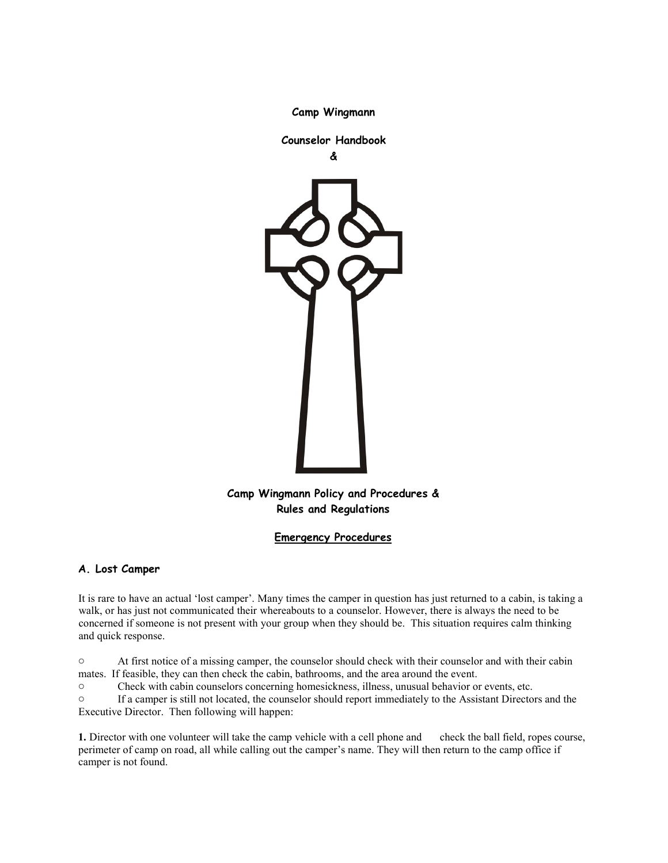

**Camp Wingmann**

# **Camp Wingmann Policy and Procedures & Rules and Regulations**

# **Emergency Procedures**

# **A. Lost Camper**

It is rare to have an actual 'lost camper'. Many times the camper in question has just returned to a cabin, is taking a walk, or has just not communicated their whereabouts to a counselor. However, there is always the need to be concerned if someone is not present with your group when they should be. This situation requires calm thinking and quick response.

o At first notice of a missing camper, the counselor should check with their counselor and with their cabin mates. If feasible, they can then check the cabin, bathrooms, and the area around the event.

o Check with cabin counselors concerning homesickness, illness, unusual behavior or events, etc.

o If a camper is still not located, the counselor should report immediately to the Assistant Directors and the Executive Director. Then following will happen:

**1.** Director with one volunteer will take the camp vehicle with a cell phone and check the ball field, ropes course, perimeter of camp on road, all while calling out the camper's name. They will then return to the camp office if camper is not found.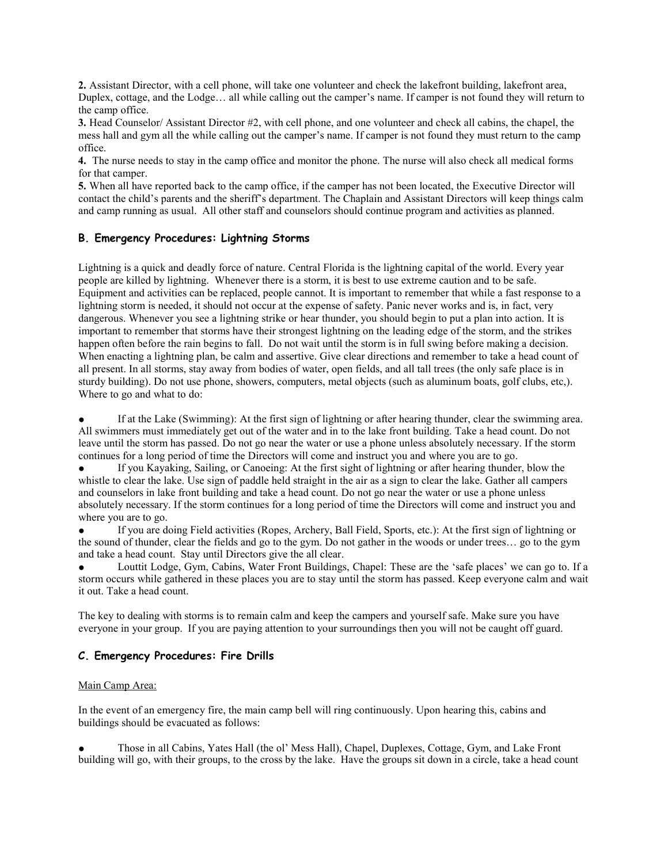**2.** Assistant Director, with a cell phone, will take one volunteer and check the lakefront building, lakefront area, Duplex, cottage, and the Lodge… all while calling out the camper's name. If camper is not found they will return to the camp office.

**3.** Head Counselor/ Assistant Director #2, with cell phone, and one volunteer and check all cabins, the chapel, the mess hall and gym all the while calling out the camper's name. If camper is not found they must return to the camp office.

**4.** The nurse needs to stay in the camp office and monitor the phone. The nurse will also check all medical forms for that camper.

**5.** When all have reported back to the camp office, if the camper has not been located, the Executive Director will contact the child's parents and the sheriff's department. The Chaplain and Assistant Directors will keep things calm and camp running as usual. All other staff and counselors should continue program and activities as planned.

## **B. Emergency Procedures: Lightning Storms**

Lightning is a quick and deadly force of nature. Central Florida is the lightning capital of the world. Every year people are killed by lightning. Whenever there is a storm, it is best to use extreme caution and to be safe. Equipment and activities can be replaced, people cannot. It is important to remember that while a fast response to a lightning storm is needed, it should not occur at the expense of safety. Panic never works and is, in fact, very dangerous. Whenever you see a lightning strike or hear thunder, you should begin to put a plan into action. It is important to remember that storms have their strongest lightning on the leading edge of the storm, and the strikes happen often before the rain begins to fall. Do not wait until the storm is in full swing before making a decision. When enacting a lightning plan, be calm and assertive. Give clear directions and remember to take a head count of all present. In all storms, stay away from bodies of water, open fields, and all tall trees (the only safe place is in sturdy building). Do not use phone, showers, computers, metal objects (such as aluminum boats, golf clubs, etc,). Where to go and what to do:

If at the Lake (Swimming): At the first sign of lightning or after hearing thunder, clear the swimming area. All swimmers must immediately get out of the water and in to the lake front building. Take a head count. Do not leave until the storm has passed. Do not go near the water or use a phone unless absolutely necessary. If the storm continues for a long period of time the Directors will come and instruct you and where you are to go.

If you Kayaking, Sailing, or Canoeing: At the first sight of lightning or after hearing thunder, blow the whistle to clear the lake. Use sign of paddle held straight in the air as a sign to clear the lake. Gather all campers and counselors in lake front building and take a head count. Do not go near the water or use a phone unless absolutely necessary. If the storm continues for a long period of time the Directors will come and instruct you and where you are to go.

If you are doing Field activities (Ropes, Archery, Ball Field, Sports, etc.): At the first sign of lightning or the sound of thunder, clear the fields and go to the gym. Do not gather in the woods or under trees… go to the gym and take a head count. Stay until Directors give the all clear.

Louttit Lodge, Gym, Cabins, Water Front Buildings, Chapel: These are the 'safe places' we can go to. If a storm occurs while gathered in these places you are to stay until the storm has passed. Keep everyone calm and wait it out. Take a head count.

The key to dealing with storms is to remain calm and keep the campers and yourself safe. Make sure you have everyone in your group. If you are paying attention to your surroundings then you will not be caught off guard.

# **C. Emergency Procedures: Fire Drills**

## Main Camp Area:

In the event of an emergency fire, the main camp bell will ring continuously. Upon hearing this, cabins and buildings should be evacuated as follows:

● Those in all Cabins, Yates Hall (the ol' Mess Hall), Chapel, Duplexes, Cottage, Gym, and Lake Front building will go, with their groups, to the cross by the lake. Have the groups sit down in a circle, take a head count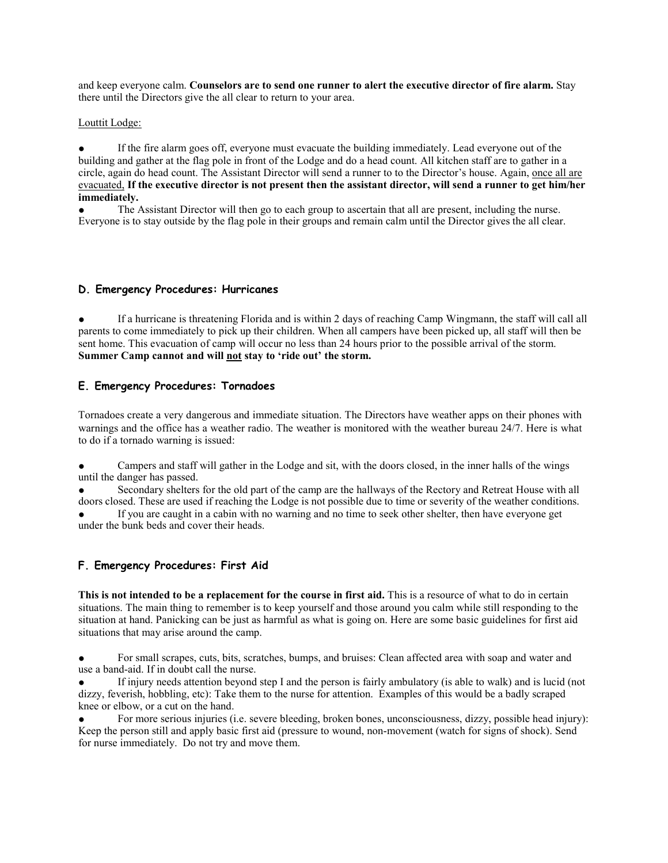and keep everyone calm. **Counselors are to send one runner to alert the executive director of fire alarm.** Stay there until the Directors give the all clear to return to your area.

#### Louttit Lodge:

If the fire alarm goes off, everyone must evacuate the building immediately. Lead everyone out of the building and gather at the flag pole in front of the Lodge and do a head count. All kitchen staff are to gather in a circle, again do head count. The Assistant Director will send a runner to to the Director's house. Again, once all are evacuated, **If the executive director is not present then the assistant director, will send a runner to get him/her immediately.**

The Assistant Director will then go to each group to ascertain that all are present, including the nurse. Everyone is to stay outside by the flag pole in their groups and remain calm until the Director gives the all clear.

#### **D. Emergency Procedures: Hurricanes**

If a hurricane is threatening Florida and is within 2 days of reaching Camp Wingmann, the staff will call all parents to come immediately to pick up their children. When all campers have been picked up, all staff will then be sent home. This evacuation of camp will occur no less than 24 hours prior to the possible arrival of the storm. **Summer Camp cannot and will not stay to 'ride out' the storm.**

## **E. Emergency Procedures: Tornadoes**

Tornadoes create a very dangerous and immediate situation. The Directors have weather apps on their phones with warnings and the office has a weather radio. The weather is monitored with the weather bureau 24/7. Here is what to do if a tornado warning is issued:

Campers and staff will gather in the Lodge and sit, with the doors closed, in the inner halls of the wings until the danger has passed.

Secondary shelters for the old part of the camp are the hallways of the Rectory and Retreat House with all doors closed. These are used if reaching the Lodge is not possible due to time or severity of the weather conditions.

If you are caught in a cabin with no warning and no time to seek other shelter, then have everyone get under the bunk beds and cover their heads.

## **F. Emergency Procedures: First Aid**

**This is not intended to be a replacement for the course in first aid.** This is a resource of what to do in certain situations. The main thing to remember is to keep yourself and those around you calm while still responding to the situation at hand. Panicking can be just as harmful as what is going on. Here are some basic guidelines for first aid situations that may arise around the camp.

For small scrapes, cuts, bits, scratches, bumps, and bruises: Clean affected area with soap and water and use a band-aid. If in doubt call the nurse.

If injury needs attention beyond step I and the person is fairly ambulatory (is able to walk) and is lucid (not dizzy, feverish, hobbling, etc): Take them to the nurse for attention. Examples of this would be a badly scraped knee or elbow, or a cut on the hand.

For more serious injuries (i.e. severe bleeding, broken bones, unconsciousness, dizzy, possible head injury): Keep the person still and apply basic first aid (pressure to wound, non-movement (watch for signs of shock). Send for nurse immediately. Do not try and move them.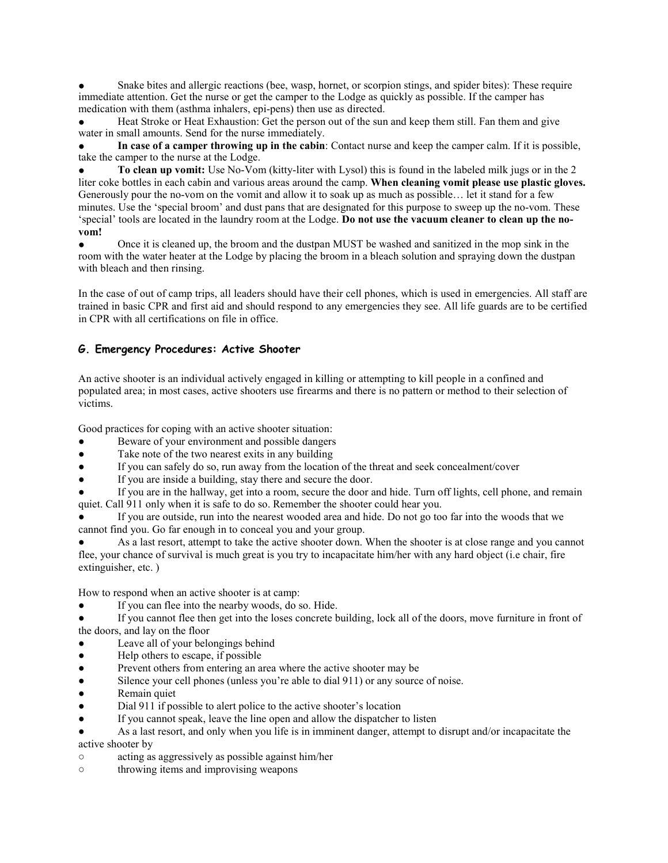Snake bites and allergic reactions (bee, wasp, hornet, or scorpion stings, and spider bites): These require immediate attention. Get the nurse or get the camper to the Lodge as quickly as possible. If the camper has medication with them (asthma inhalers, epi-pens) then use as directed.

Heat Stroke or Heat Exhaustion: Get the person out of the sun and keep them still. Fan them and give water in small amounts. Send for the nurse immediately.

● **In case of a camper throwing up in the cabin**: Contact nurse and keep the camper calm. If it is possible, take the camper to the nurse at the Lodge.

● **To clean up vomit:** Use No-Vom (kitty-liter with Lysol) this is found in the labeled milk jugs or in the 2 liter coke bottles in each cabin and various areas around the camp. **When cleaning vomit please use plastic gloves.** Generously pour the no-vom on the vomit and allow it to soak up as much as possible… let it stand for a few minutes. Use the 'special broom' and dust pans that are designated for this purpose to sweep up the no-vom. These 'special' tools are located in the laundry room at the Lodge. **Do not use the vacuum cleaner to clean up the novom!**

Once it is cleaned up, the broom and the dustpan MUST be washed and sanitized in the mop sink in the room with the water heater at the Lodge by placing the broom in a bleach solution and spraying down the dustpan with bleach and then rinsing.

In the case of out of camp trips, all leaders should have their cell phones, which is used in emergencies. All staff are trained in basic CPR and first aid and should respond to any emergencies they see. All life guards are to be certified in CPR with all certifications on file in office.

# **G. Emergency Procedures: Active Shooter**

An active shooter is an individual actively engaged in killing or attempting to kill people in a confined and populated area; in most cases, active shooters use firearms and there is no pattern or method to their selection of victims.

Good practices for coping with an active shooter situation:

- Beware of your environment and possible dangers
- Take note of the two nearest exits in any building
- If you can safely do so, run away from the location of the threat and seek concealment/cover
- If you are inside a building, stay there and secure the door.

If you are in the hallway, get into a room, secure the door and hide. Turn off lights, cell phone, and remain quiet. Call 911 only when it is safe to do so. Remember the shooter could hear you.

If you are outside, run into the nearest wooded area and hide. Do not go too far into the woods that we cannot find you. Go far enough in to conceal you and your group.

As a last resort, attempt to take the active shooter down. When the shooter is at close range and you cannot flee, your chance of survival is much great is you try to incapacitate him/her with any hard object (i.e chair, fire extinguisher, etc. )

How to respond when an active shooter is at camp:

If you can flee into the nearby woods, do so. Hide.

If you cannot flee then get into the loses concrete building, lock all of the doors, move furniture in front of the doors, and lay on the floor

Leave all of your belongings behind

- Help others to escape, if possible
- Prevent others from entering an area where the active shooter may be
- Silence your cell phones (unless you're able to dial 911) or any source of noise.
- Remain quiet
- Dial 911 if possible to alert police to the active shooter's location
- If you cannot speak, leave the line open and allow the dispatcher to listen
- As a last resort, and only when you life is in imminent danger, attempt to disrupt and/or incapacitate the active shooter by
- acting as aggressively as possible against him/her
- throwing items and improvising weapons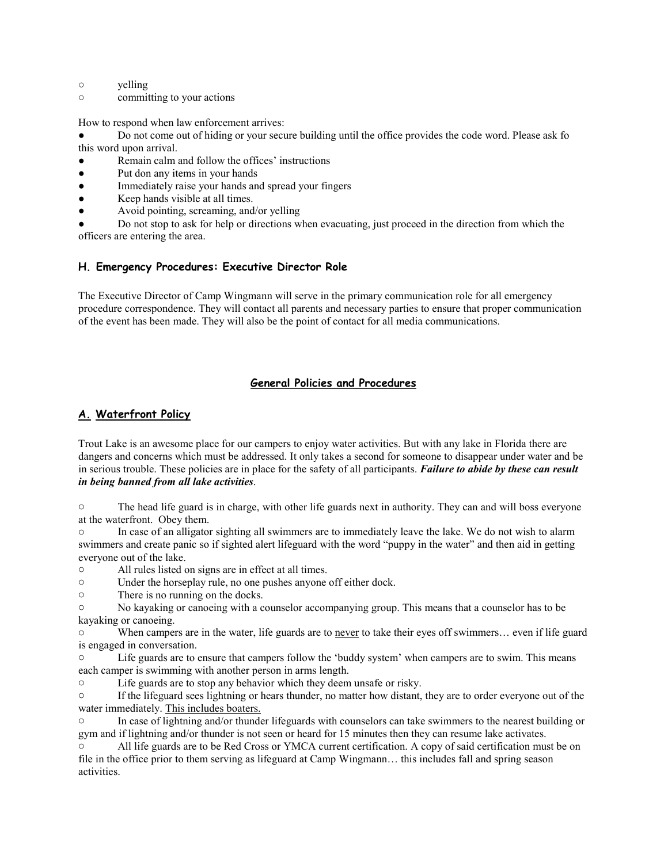- yelling
- committing to your actions

How to respond when law enforcement arrives:

Do not come out of hiding or your secure building until the office provides the code word. Please ask fo this word upon arrival.

- Remain calm and follow the offices' instructions
- Put don any items in your hands
- Immediately raise your hands and spread your fingers
- Keep hands visible at all times.
- Avoid pointing, screaming, and/or yelling

Do not stop to ask for help or directions when evacuating, just proceed in the direction from which the officers are entering the area.

## **H. Emergency Procedures: Executive Director Role**

The Executive Director of Camp Wingmann will serve in the primary communication role for all emergency procedure correspondence. They will contact all parents and necessary parties to ensure that proper communication of the event has been made. They will also be the point of contact for all media communications.

# **General Policies and Procedures**

# **A. Waterfront Policy**

Trout Lake is an awesome place for our campers to enjoy water activities. But with any lake in Florida there are dangers and concerns which must be addressed. It only takes a second for someone to disappear under water and be in serious trouble. These policies are in place for the safety of all participants. *Failure to abide by these can result in being banned from all lake activities*.

o The head life guard is in charge, with other life guards next in authority. They can and will boss everyone at the waterfront. Obey them.

o In case of an alligator sighting all swimmers are to immediately leave the lake. We do not wish to alarm swimmers and create panic so if sighted alert lifeguard with the word "puppy in the water" and then aid in getting everyone out of the lake.

o All rules listed on signs are in effect at all times.

- o Under the horseplay rule, no one pushes anyone off either dock.
- o There is no running on the docks.

o No kayaking or canoeing with a counselor accompanying group. This means that a counselor has to be kayaking or canoeing.

o When campers are in the water, life guards are to never to take their eyes off swimmers… even if life guard is engaged in conversation.

o Life guards are to ensure that campers follow the 'buddy system' when campers are to swim. This means each camper is swimming with another person in arms length.

o Life guards are to stop any behavior which they deem unsafe or risky.

o If the lifeguard sees lightning or hears thunder, no matter how distant, they are to order everyone out of the water immediately. This includes boaters.

In case of lightning and/or thunder lifeguards with counselors can take swimmers to the nearest building or gym and if lightning and/or thunder is not seen or heard for 15 minutes then they can resume lake activates.

o All life guards are to be Red Cross or YMCA current certification. A copy of said certification must be on file in the office prior to them serving as lifeguard at Camp Wingmann… this includes fall and spring season activities.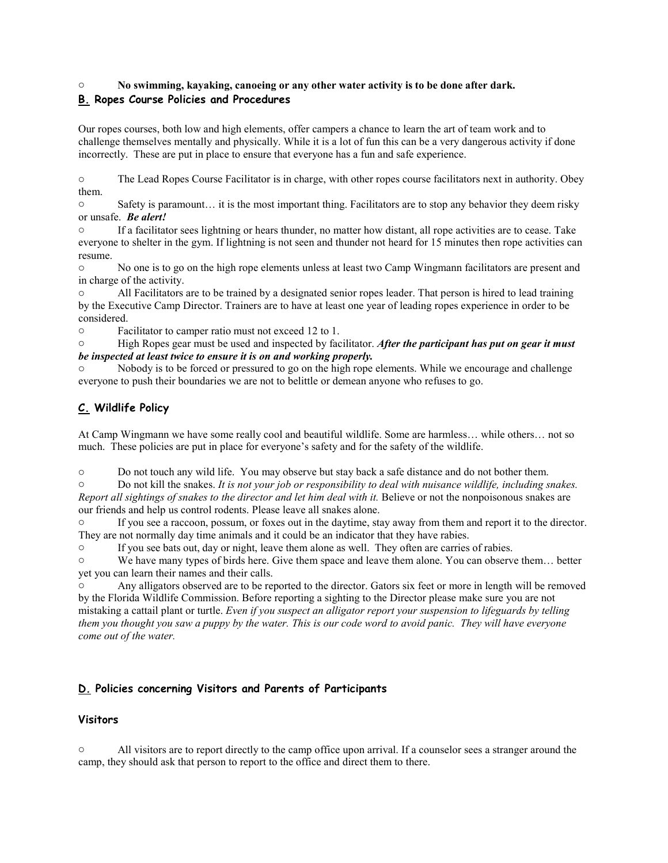# o **No swimming, kayaking, canoeing or any other water activity is to be done after dark. B. Ropes Course Policies and Procedures**

Our ropes courses, both low and high elements, offer campers a chance to learn the art of team work and to challenge themselves mentally and physically. While it is a lot of fun this can be a very dangerous activity if done incorrectly. These are put in place to ensure that everyone has a fun and safe experience.

o The Lead Ropes Course Facilitator is in charge, with other ropes course facilitators next in authority. Obey them.

o Safety is paramount… it is the most important thing. Facilitators are to stop any behavior they deem risky or unsafe. *Be alert!*

o If a facilitator sees lightning or hears thunder, no matter how distant, all rope activities are to cease. Take everyone to shelter in the gym. If lightning is not seen and thunder not heard for 15 minutes then rope activities can resume.

o No one is to go on the high rope elements unless at least two Camp Wingmann facilitators are present and in charge of the activity.

All Facilitators are to be trained by a designated senior ropes leader. That person is hired to lead training by the Executive Camp Director. Trainers are to have at least one year of leading ropes experience in order to be considered.

o Facilitator to camper ratio must not exceed 12 to 1.

o High Ropes gear must be used and inspected by facilitator. *After the participant has put on gear it must be inspected at least twice to ensure it is on and working properly.*

Nobody is to be forced or pressured to go on the high rope elements. While we encourage and challenge everyone to push their boundaries we are not to belittle or demean anyone who refuses to go.

# **C. Wildlife Policy**

At Camp Wingmann we have some really cool and beautiful wildlife. Some are harmless… while others… not so much. These policies are put in place for everyone's safety and for the safety of the wildlife.

o Do not touch any wild life. You may observe but stay back a safe distance and do not bother them.

o Do not kill the snakes. *It is not your job or responsibility to deal with nuisance wildlife, including snakes. Report all sightings of snakes to the director and let him deal with it.* Believe or not the nonpoisonous snakes are our friends and help us control rodents. Please leave all snakes alone.

If you see a raccoon, possum, or foxes out in the daytime, stay away from them and report it to the director. They are not normally day time animals and it could be an indicator that they have rabies.

o If you see bats out, day or night, leave them alone as well. They often are carries of rabies.

o We have many types of birds here. Give them space and leave them alone. You can observe them… better yet you can learn their names and their calls.

Any alligators observed are to be reported to the director. Gators six feet or more in length will be removed by the Florida Wildlife Commission. Before reporting a sighting to the Director please make sure you are not mistaking a cattail plant or turtle. *Even if you suspect an alligator report your suspension to lifeguards by telling them you thought you saw a puppy by the water. This is our code word to avoid panic. They will have everyone come out of the water.*

# **D. Policies concerning Visitors and Parents of Participants**

# **Visitors**

o All visitors are to report directly to the camp office upon arrival. If a counselor sees a stranger around the camp, they should ask that person to report to the office and direct them to there.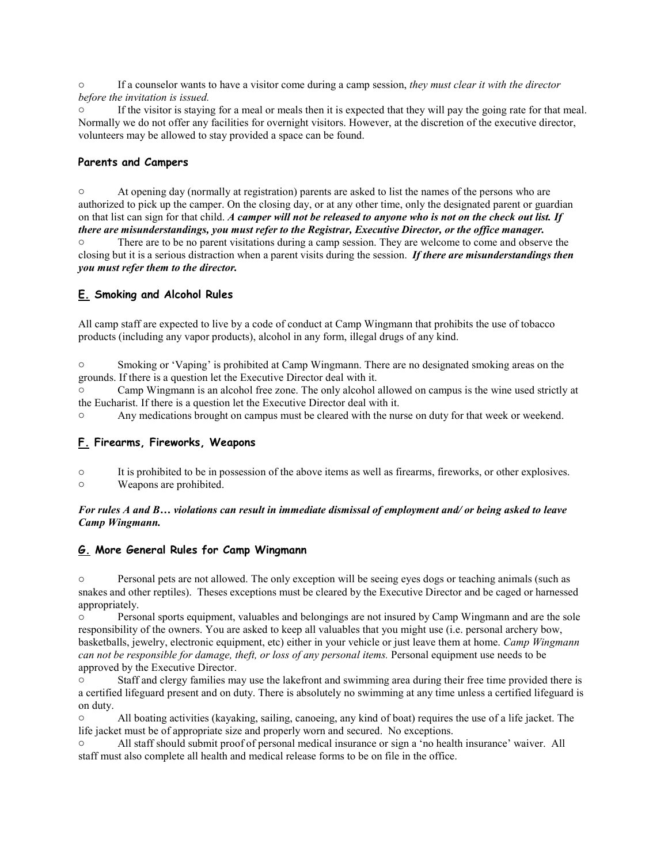o If a counselor wants to have a visitor come during a camp session, *they must clear it with the director before the invitation is issued.*

If the visitor is staying for a meal or meals then it is expected that they will pay the going rate for that meal. Normally we do not offer any facilities for overnight visitors. However, at the discretion of the executive director, volunteers may be allowed to stay provided a space can be found.

## **Parents and Campers**

o At opening day (normally at registration) parents are asked to list the names of the persons who are authorized to pick up the camper. On the closing day, or at any other time, only the designated parent or guardian on that list can sign for that child. *A camper will not be released to anyone who is not on the check out list. If there are misunderstandings, you must refer to the Registrar, Executive Director, or the office manager.* o There are to be no parent visitations during a camp session. They are welcome to come and observe the closing but it is a serious distraction when a parent visits during the session. *If there are misunderstandings then you must refer them to the director.*

# **E. Smoking and Alcohol Rules**

All camp staff are expected to live by a code of conduct at Camp Wingmann that prohibits the use of tobacco products (including any vapor products), alcohol in any form, illegal drugs of any kind.

o Smoking or 'Vaping' is prohibited at Camp Wingmann. There are no designated smoking areas on the grounds. If there is a question let the Executive Director deal with it.

o Camp Wingmann is an alcohol free zone. The only alcohol allowed on campus is the wine used strictly at the Eucharist. If there is a question let the Executive Director deal with it.

o Any medications brought on campus must be cleared with the nurse on duty for that week or weekend.

# **F. Firearms, Fireworks, Weapons**

- o It is prohibited to be in possession of the above items as well as firearms, fireworks, or other explosives.
- Weapons are prohibited.

## *For rules A and B… violations can result in immediate dismissal of employment and/ or being asked to leave Camp Wingmann.*

# **G. More General Rules for Camp Wingmann**

o Personal pets are not allowed. The only exception will be seeing eyes dogs or teaching animals (such as snakes and other reptiles). Theses exceptions must be cleared by the Executive Director and be caged or harnessed appropriately.

o Personal sports equipment, valuables and belongings are not insured by Camp Wingmann and are the sole responsibility of the owners. You are asked to keep all valuables that you might use (i.e. personal archery bow, basketballs, jewelry, electronic equipment, etc) either in your vehicle or just leave them at home. *Camp Wingmann can not be responsible for damage, theft, or loss of any personal items.* Personal equipment use needs to be approved by the Executive Director.

o Staff and clergy families may use the lakefront and swimming area during their free time provided there is a certified lifeguard present and on duty. There is absolutely no swimming at any time unless a certified lifeguard is on duty.

o All boating activities (kayaking, sailing, canoeing, any kind of boat) requires the use of a life jacket. The life jacket must be of appropriate size and properly worn and secured. No exceptions.

o All staff should submit proof of personal medical insurance or sign a 'no health insurance' waiver. All staff must also complete all health and medical release forms to be on file in the office.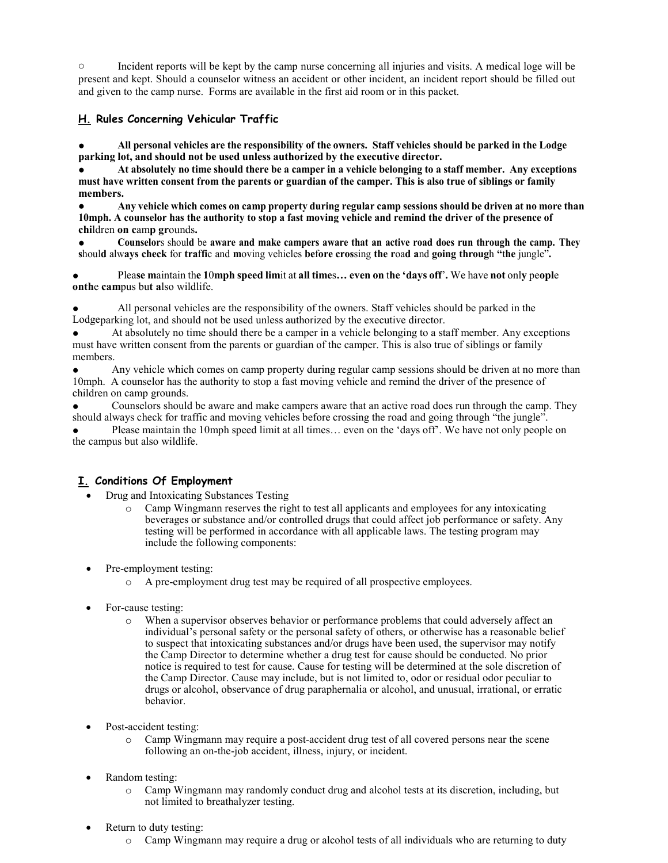o Incident reports will be kept by the camp nurse concerning all injuries and visits. A medical loge will be present and kept. Should a counselor witness an accident or other incident, an incident report should be filled out and given to the camp nurse. Forms are available in the first aid room or in this packet.

# **H. Rules Concerning Vehicular Traffic**

All personal vehicles are the responsibility of the owners. Staff vehicles should be parked in the Lodge **parking lot, and should not be used unless authorized by the executive director.**

At absolutely no time should there be a camper in a vehicle belonging to a staff member. Any exceptions **must have written consent from the parents or guardian of the camper. This is also true of siblings or family members.**

Any vehicle which comes on camp property during regular camp sessions should be driven at no more than **10mph. A counselor has the authority to stop a fast moving vehicle and remind the driver of the presence of chi**ldren **on c**am**p gr**ounds**.**

● **Counselor**s shoul**d** be **aware and make campers aware that an active road does run through the camp. They** should always check for traffic and moving vehicles before crossing the road and going through "the jungle".

Please maintain the 10mph speed limit at all times... even on the 'days off'. We have not only people **onth**e **cam**pus bu**t a**lso wildlife.

All personal vehicles are the responsibility of the owners. Staff vehicles should be parked in the Lodgeparking lot, and should not be used unless authorized by the executive director.

At absolutely no time should there be a camper in a vehicle belonging to a staff member. Any exceptions must have written consent from the parents or guardian of the camper. This is also true of siblings or family members.

Any vehicle which comes on camp property during regular camp sessions should be driven at no more than 10mph. A counselor has the authority to stop a fast moving vehicle and remind the driver of the presence of children on camp grounds.

Counselors should be aware and make campers aware that an active road does run through the camp. They should always check for traffic and moving vehicles before crossing the road and going through "the jungle".

Please maintain the 10mph speed limit at all times... even on the 'days off'. We have not only people on the campus but also wildlife.

# **I. Conditions Of Employment**

- Drug and Intoxicating Substances Testing
	- o Camp Wingmann reserves the right to test all applicants and employees for any intoxicating beverages or substance and/or controlled drugs that could affect job performance or safety. Any testing will be performed in accordance with all applicable laws. The testing program may include the following components:
- Pre-employment testing:
	- o A pre-employment drug test may be required of all prospective employees.
- For-cause testing:
	- When a supervisor observes behavior or performance problems that could adversely affect an individual's personal safety or the personal safety of others, or otherwise has a reasonable belief to suspect that intoxicating substances and/or drugs have been used, the supervisor may notify the Camp Director to determine whether a drug test for cause should be conducted. No prior notice is required to test for cause. Cause for testing will be determined at the sole discretion of the Camp Director. Cause may include, but is not limited to, odor or residual odor peculiar to drugs or alcohol, observance of drug paraphernalia or alcohol, and unusual, irrational, or erratic behavior.
- Post-accident testing:
	- o Camp Wingmann may require a post-accident drug test of all covered persons near the scene following an on-the-job accident, illness, injury, or incident.
- Random testing:
	- o Camp Wingmann may randomly conduct drug and alcohol tests at its discretion, including, but not limited to breathalyzer testing.
- Return to duty testing:
	- o Camp Wingmann may require a drug or alcohol tests of all individuals who are returning to duty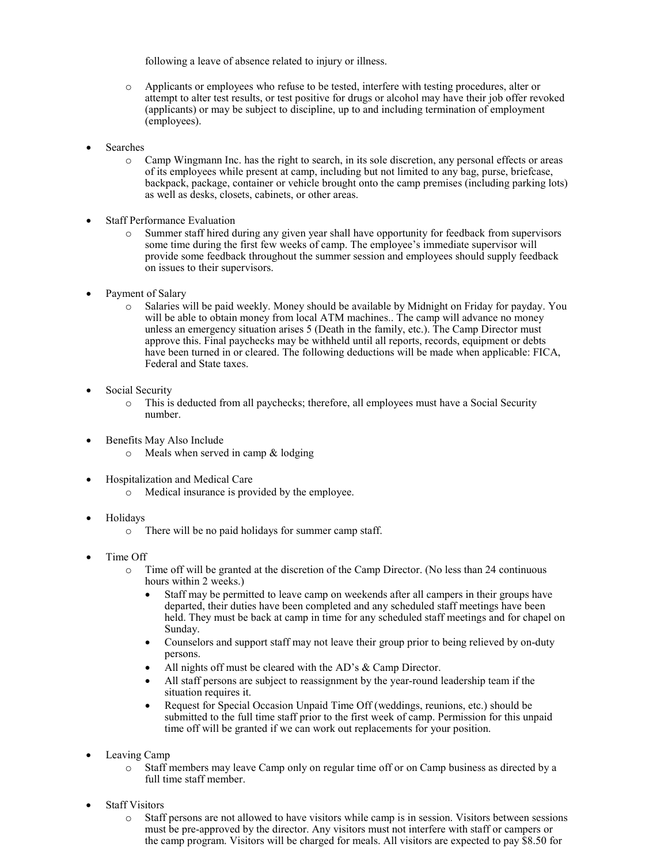following a leave of absence related to injury or illness.

- o Applicants or employees who refuse to be tested, interfere with testing procedures, alter or attempt to alter test results, or test positive for drugs or alcohol may have their job offer revoked (applicants) or may be subject to discipline, up to and including termination of employment (employees).
- **Searches** 
	- o Camp Wingmann Inc. has the right to search, in its sole discretion, any personal effects or areas of its employees while present at camp, including but not limited to any bag, purse, briefcase, backpack, package, container or vehicle brought onto the camp premises (including parking lots) as well as desks, closets, cabinets, or other areas.
- Staff Performance Evaluation
	- o Summer staff hired during any given year shall have opportunity for feedback from supervisors some time during the first few weeks of camp. The employee's immediate supervisor will provide some feedback throughout the summer session and employees should supply feedback on issues to their supervisors.
- Payment of Salary
	- o Salaries will be paid weekly. Money should be available by Midnight on Friday for payday. You will be able to obtain money from local ATM machines.. The camp will advance no money unless an emergency situation arises 5 (Death in the family, etc.). The Camp Director must approve this. Final paychecks may be withheld until all reports, records, equipment or debts have been turned in or cleared. The following deductions will be made when applicable: FICA, Federal and State taxes.
- Social Security
	- o This is deducted from all paychecks; therefore, all employees must have a Social Security number.
- Benefits May Also Include
	- $\circ$  Meals when served in camp & lodging
- Hospitalization and Medical Care
	- o Medical insurance is provided by the employee.
- Holidays
	- o There will be no paid holidays for summer camp staff.
- Time Off
	- o Time off will be granted at the discretion of the Camp Director. (No less than 24 continuous hours within 2 weeks.)
		- Staff may be permitted to leave camp on weekends after all campers in their groups have departed, their duties have been completed and any scheduled staff meetings have been held. They must be back at camp in time for any scheduled staff meetings and for chapel on Sunday.
		- Counselors and support staff may not leave their group prior to being relieved by on-duty persons.
		- All nights off must be cleared with the AD's & Camp Director.
		- All staff persons are subject to reassignment by the year-round leadership team if the situation requires it.
		- Request for Special Occasion Unpaid Time Off (weddings, reunions, etc.) should be submitted to the full time staff prior to the first week of camp. Permission for this unpaid time off will be granted if we can work out replacements for your position.
- Leaving Camp
	- o Staff members may leave Camp only on regular time off or on Camp business as directed by a full time staff member.
- **Staff Visitors** 
	- o Staff persons are not allowed to have visitors while camp is in session. Visitors between sessions must be pre-approved by the director. Any visitors must not interfere with staff or campers or the camp program. Visitors will be charged for meals. All visitors are expected to pay \$8.50 for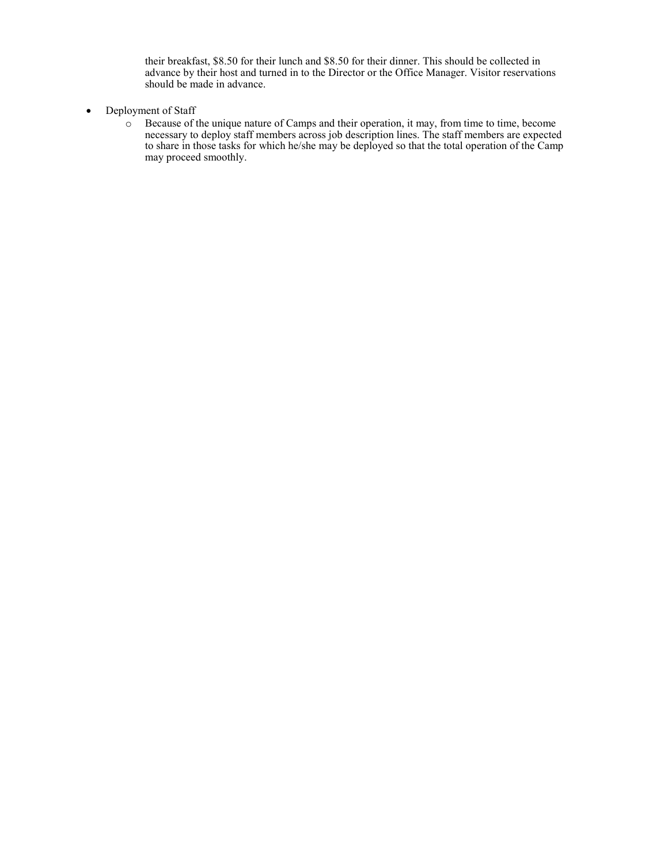their breakfast, \$8.50 for their lunch and \$8.50 for their dinner. This should be collected in advance by their host and turned in to the Director or the Office Manager. Visitor reservations should be made in advance.

- Deployment of Staff
	- o Because of the unique nature of Camps and their operation, it may, from time to time, become necessary to deploy staff members across job description lines. The staff members are expected to share in those tasks for which he/she may be deployed so that the total operation of the Camp may proceed smoothly.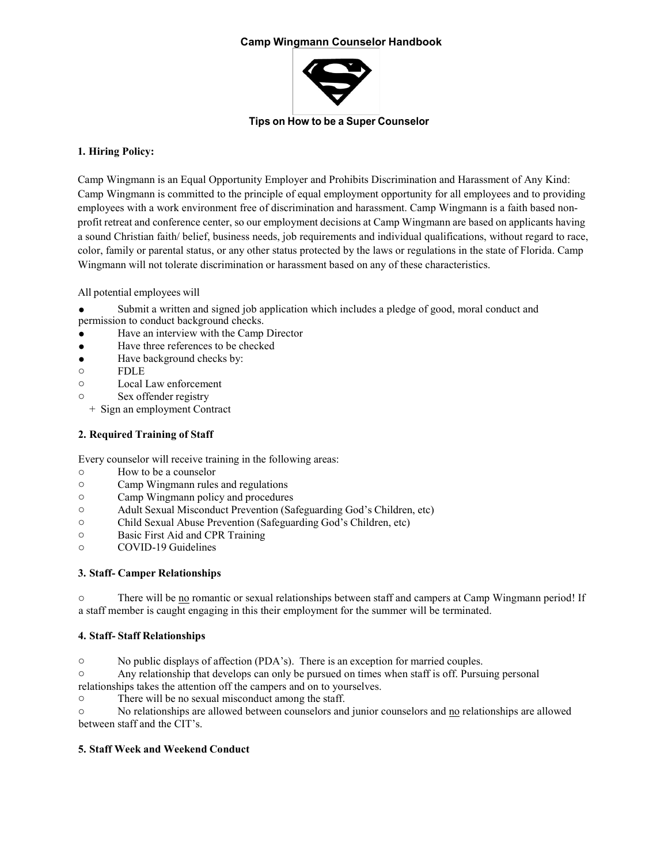# **Camp Wingmann Counselor Handbook**



#### **Tips on How to be a Super Counselor**

## **1. Hiring Policy:**

Camp Wingmann is an Equal Opportunity Employer and Prohibits Discrimination and Harassment of Any Kind: Camp Wingmann is committed to the principle of equal employment opportunity for all employees and to providing employees with a work environment free of discrimination and harassment. Camp Wingmann is a faith based nonprofit retreat and conference center, so our employment decisions at Camp Wingmann are based on applicants having a sound Christian faith/ belief, business needs, job requirements and individual qualifications, without regard to race, color, family or parental status, or any other status protected by the laws or regulations in the state of Florida. Camp Wingmann will not tolerate discrimination or harassment based on any of these characteristics.

All potential employees will

- Submit a written and signed job application which includes a pledge of good, moral conduct and permission to conduct background checks.
- Have an interview with the Camp Director
- Have three references to be checked
- Have background checks by:
- o FDLE
- o Local Law enforcement
- o Sex offender registry

+ Sign an employment Contract

# **2. Required Training of Staff**

Every counselor will receive training in the following areas:

- o How to be a counselor
- Camp Wingmann rules and regulations
- o Camp Wingmann policy and procedures
- o Adult Sexual Misconduct Prevention (Safeguarding God's Children, etc)
- o Child Sexual Abuse Prevention (Safeguarding God's Children, etc)
- o Basic First Aid and CPR Training
- o COVID-19 Guidelines

## **3. Staff- Camper Relationships**

o There will be no romantic or sexual relationships between staff and campers at Camp Wingmann period! If a staff member is caught engaging in this their employment for the summer will be terminated.

## **4. Staff- Staff Relationships**

o No public displays of affection (PDA's). There is an exception for married couples.

o Any relationship that develops can only be pursued on times when staff is off. Pursuing personal relationships takes the attention off the campers and on to yourselves.

o There will be no sexual misconduct among the staff.

o No relationships are allowed between counselors and junior counselors and no relationships are allowed between staff and the CIT's.

# **5. Staff Week and Weekend Conduct**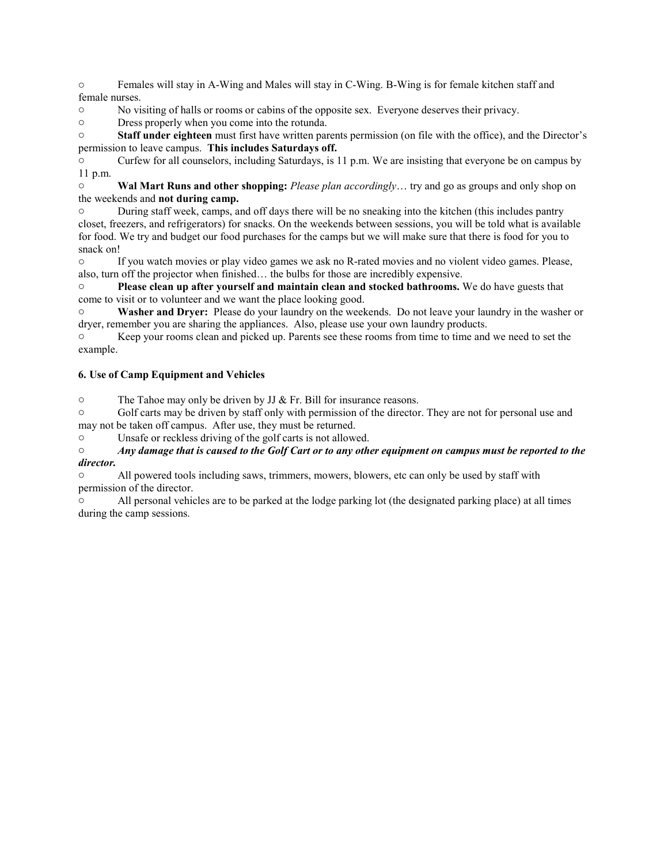o Females will stay in A-Wing and Males will stay in C-Wing. B-Wing is for female kitchen staff and female nurses.

o No visiting of halls or rooms or cabins of the opposite sex. Everyone deserves their privacy.

o Dress properly when you come into the rotunda.

o **Staff under eighteen** must first have written parents permission (on file with the office), and the Director's permission to leave campus. **This includes Saturdays off.**

o Curfew for all counselors, including Saturdays, is 11 p.m. We are insisting that everyone be on campus by 11 p.m.

o **Wal Mart Runs and other shopping:** *Please plan accordingly*… try and go as groups and only shop on the weekends and **not during camp.**

o During staff week, camps, and off days there will be no sneaking into the kitchen (this includes pantry closet, freezers, and refrigerators) for snacks. On the weekends between sessions, you will be told what is available for food. We try and budget our food purchases for the camps but we will make sure that there is food for you to snack on!

o If you watch movies or play video games we ask no R-rated movies and no violent video games. Please, also, turn off the projector when finished… the bulbs for those are incredibly expensive.

o **Please clean up after yourself and maintain clean and stocked bathrooms.** We do have guests that come to visit or to volunteer and we want the place looking good.

o **Washer and Dryer:** Please do your laundry on the weekends. Do not leave your laundry in the washer or dryer, remember you are sharing the appliances. Also, please use your own laundry products.

o Keep your rooms clean and picked up. Parents see these rooms from time to time and we need to set the example.

# **6. Use of Camp Equipment and Vehicles**

 $\circ$  The Tahoe may only be driven by JJ & Fr. Bill for insurance reasons.

o Golf carts may be driven by staff only with permission of the director. They are not for personal use and may not be taken off campus. After use, they must be returned.

o Unsafe or reckless driving of the golf carts is not allowed.

## $\circ$  Any damage that is caused to the Golf Cart or to any other equipment on campus must be reported to the *director.*

o All powered tools including saws, trimmers, mowers, blowers, etc can only be used by staff with permission of the director.

o All personal vehicles are to be parked at the lodge parking lot (the designated parking place) at all times during the camp sessions.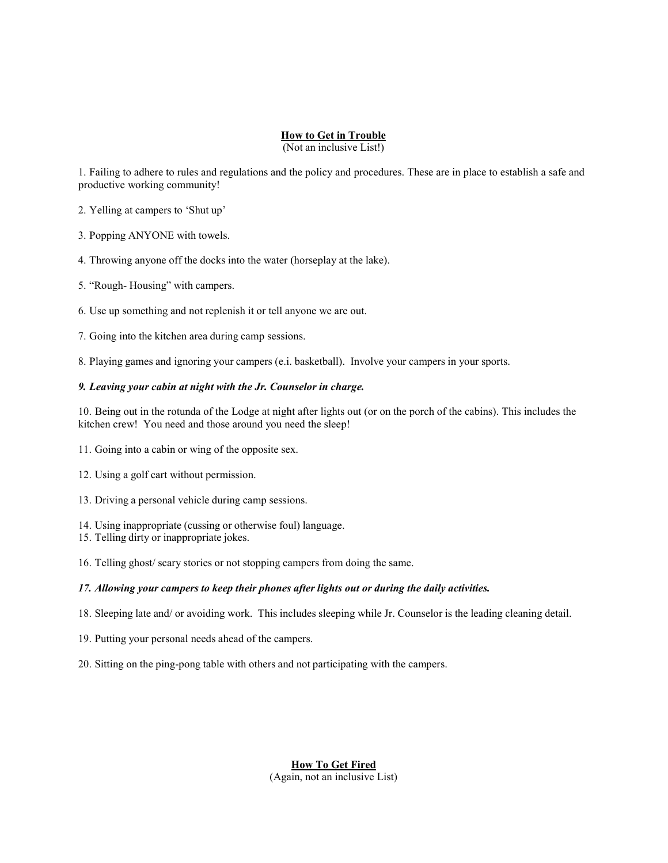# **How to Get in Trouble**

(Not an inclusive List!)

1. Failing to adhere to rules and regulations and the policy and procedures. These are in place to establish a safe and productive working community!

2. Yelling at campers to 'Shut up'

3. Popping ANYONE with towels.

4. Throwing anyone off the docks into the water (horseplay at the lake).

5. "Rough- Housing" with campers.

6. Use up something and not replenish it or tell anyone we are out.

7. Going into the kitchen area during camp sessions.

8. Playing games and ignoring your campers (e.i. basketball). Involve your campers in your sports.

#### *9. Leaving your cabin at night with the Jr. Counselor in charge.*

10. Being out in the rotunda of the Lodge at night after lights out (or on the porch of the cabins). This includes the kitchen crew! You need and those around you need the sleep!

11. Going into a cabin or wing of the opposite sex.

12. Using a golf cart without permission.

13. Driving a personal vehicle during camp sessions.

14. Using inappropriate (cussing or otherwise foul) language.

15. Telling dirty or inappropriate jokes.

16. Telling ghost/ scary stories or not stopping campers from doing the same.

## *17. Allowing your campers to keep their phones after lights out or during the daily activities.*

18. Sleeping late and/ or avoiding work. This includes sleeping while Jr. Counselor is the leading cleaning detail.

19. Putting your personal needs ahead of the campers.

20. Sitting on the ping-pong table with others and not participating with the campers.

**How To Get Fired** (Again, not an inclusive List)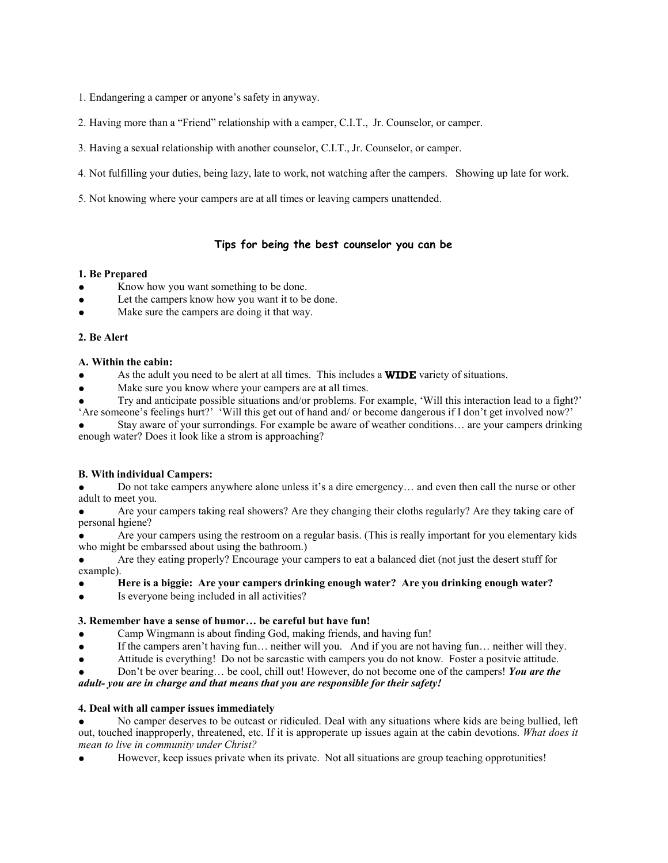1. Endangering a camper or anyone's safety in anyway.

2. Having more than a "Friend" relationship with a camper, C.I.T., Jr. Counselor, or camper.

- 3. Having a sexual relationship with another counselor, C.I.T., Jr. Counselor, or camper.
- 4. Not fulfilling your duties, being lazy, late to work, not watching after the campers. Showing up late for work.
- 5. Not knowing where your campers are at all times or leaving campers unattended.

# **Tips for being the best counselor you can be**

#### **1. Be Prepared**

- Know how you want something to be done.
- Let the campers know how you want it to be done.
- Make sure the campers are doing it that way.

#### **2. Be Alert**

#### **A. Within the cabin:**

- As the adult you need to be alert at all times. This includes a **WIDE** variety of situations.
- Make sure you know where your campers are at all times.
- Try and anticipate possible situations and/or problems. For example, 'Will this interaction lead to a fight?' 'Are someone's feelings hurt?' 'Will this get out of hand and/ or become dangerous if I don't get involved now?'

Stay aware of your surrondings. For example be aware of weather conditions... are your campers drinking enough water? Does it look like a strom is approaching?

## **B. With individual Campers:**

Do not take campers anywhere alone unless it's a dire emergency... and even then call the nurse or other adult to meet you.

Are your campers taking real showers? Are they changing their cloths regularly? Are they taking care of personal hgiene?

Are your campers using the restroom on a regular basis. (This is really important for you elementary kids who might be embarssed about using the bathroom.)

Are they eating properly? Encourage your campers to eat a balanced diet (not just the desert stuff for example).

## ● **Here is a biggie: Are your campers drinking enough water? Are you drinking enough water?**

Is everyone being included in all activities?

## **3. Remember have a sense of humor… be careful but have fun!**

- Camp Wingmann is about finding God, making friends, and having fun!
- If the campers aren't having fun... neither will you. And if you are not having fun... neither will they.
- Attitude is everything! Do not be sarcastic with campers you do not know. Foster a positvie attitude.

Don't be over bearing... be cool, chill out! However, do not become one of the campers! *You are the adult- you are in charge and that means that you are responsible for their safety!*

## **4. Deal with all camper issues immediately**

No camper deserves to be outcast or ridiculed. Deal with any situations where kids are being bullied, left out, touched inapproperly, threatened, etc. If it is approperate up issues again at the cabin devotions. *What does it mean to live in community under Christ?*

However, keep issues private when its private. Not all situations are group teaching opprotunities!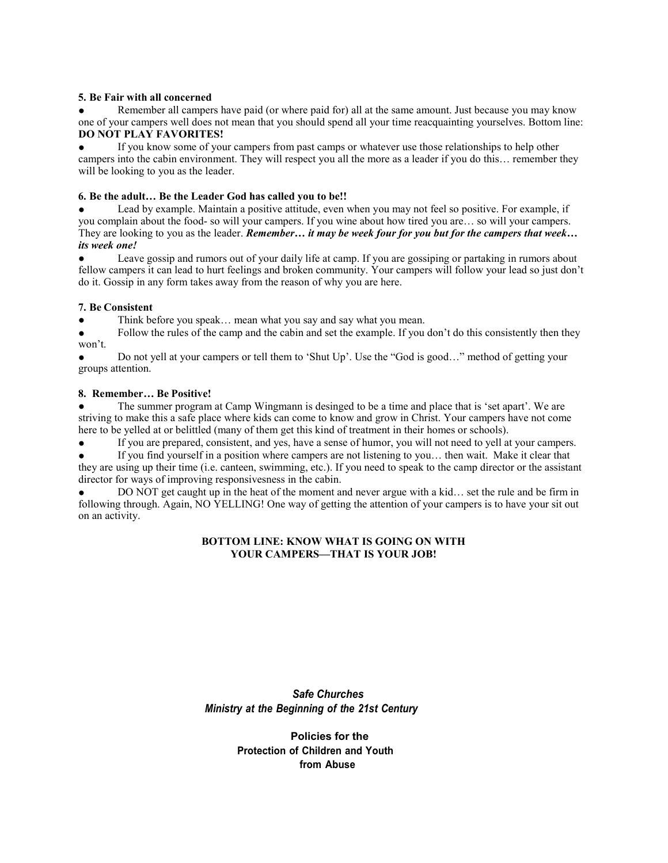#### **5. Be Fair with all concerned**

Remember all campers have paid (or where paid for) all at the same amount. Just because you may know one of your campers well does not mean that you should spend all your time reacquainting yourselves. Bottom line: **DO NOT PLAY FAVORITES!**

If you know some of your campers from past camps or whatever use those relationships to help other campers into the cabin environment. They will respect you all the more as a leader if you do this… remember they will be looking to you as the leader.

#### **6. Be the adult… Be the Leader God has called you to be!!**

Lead by example. Maintain a positive attitude, even when you may not feel so positive. For example, if you complain about the food- so will your campers. If you wine about how tired you are… so will your campers. They are looking to you as the leader. *Remember… it may be week four for you but for the campers that week… its week one!*

Leave gossip and rumors out of your daily life at camp. If you are gossiping or partaking in rumors about fellow campers it can lead to hurt feelings and broken community. Your campers will follow your lead so just don't do it. Gossip in any form takes away from the reason of why you are here.

## **7. Be Consistent**

● Think before you speak… mean what you say and say what you mean.

• Follow the rules of the camp and the cabin and set the example. If you don't do this consistently then they won't.

Do not yell at your campers or tell them to 'Shut Up'. Use the "God is good..." method of getting your groups attention.

#### **8. Remember… Be Positive!**

The summer program at Camp Wingmann is desinged to be a time and place that is 'set apart'. We are striving to make this a safe place where kids can come to know and grow in Christ. Your campers have not come here to be yelled at or belittled (many of them get this kind of treatment in their homes or schools).

If you are prepared, consistent, and yes, have a sense of humor, you will not need to yell at your campers.

If you find yourself in a position where campers are not listening to you... then wait. Make it clear that they are using up their time (i.e. canteen, swimming, etc.). If you need to speak to the camp director or the assistant director for ways of improving responsivesness in the cabin.

DO NOT get caught up in the heat of the moment and never argue with a kid... set the rule and be firm in following through. Again, NO YELLING! One way of getting the attention of your campers is to have your sit out on an activity.

#### **BOTTOM LINE: KNOW WHAT IS GOING ON WITH YOUR CAMPERS—THAT IS YOUR JOB!**

# *Safe Churches Ministry at the Beginning of the 21st Century*

# **Policies for the Protection of Children and Youth from Abuse**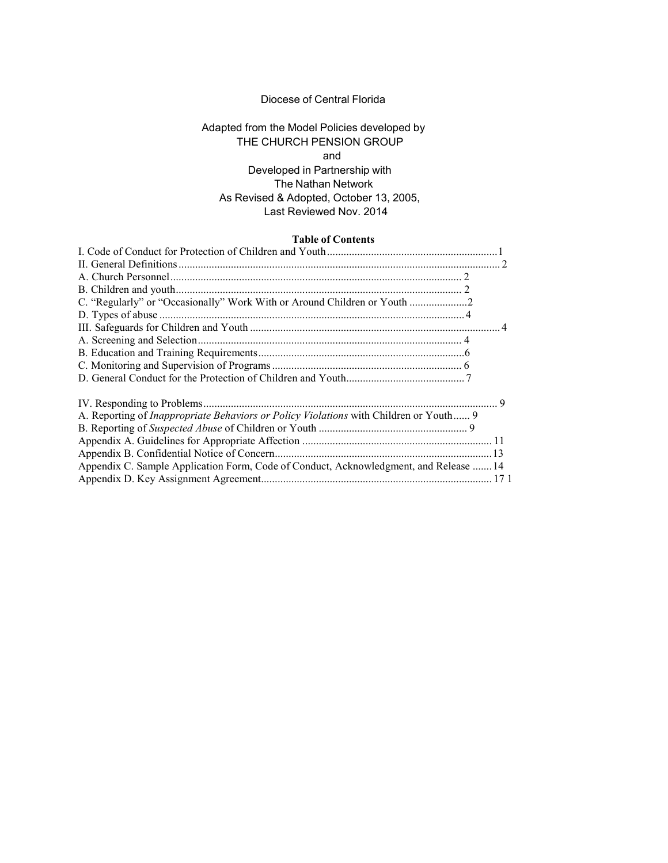## Diocese of Central Florida

# Adapted from the Model Policies developed by THE CHURCH PENSION GROUP and Developed in Partnership with The Nathan Network As Revised & Adopted, October 13, 2005, Last Reviewed Nov. 2014

#### **Table of Contents**

| <b>Lable of Contents</b>                                                                     |  |
|----------------------------------------------------------------------------------------------|--|
|                                                                                              |  |
|                                                                                              |  |
|                                                                                              |  |
|                                                                                              |  |
| C. "Regularly" or "Occasionally" Work With or Around Children or Youth                       |  |
|                                                                                              |  |
|                                                                                              |  |
|                                                                                              |  |
|                                                                                              |  |
|                                                                                              |  |
|                                                                                              |  |
|                                                                                              |  |
| A. Reporting of <i>Inappropriate Behaviors or Policy Violations</i> with Children or Youth 9 |  |
|                                                                                              |  |
|                                                                                              |  |
|                                                                                              |  |
| Appendix C. Sample Application Form, Code of Conduct, Acknowledgment, and Release  14        |  |
|                                                                                              |  |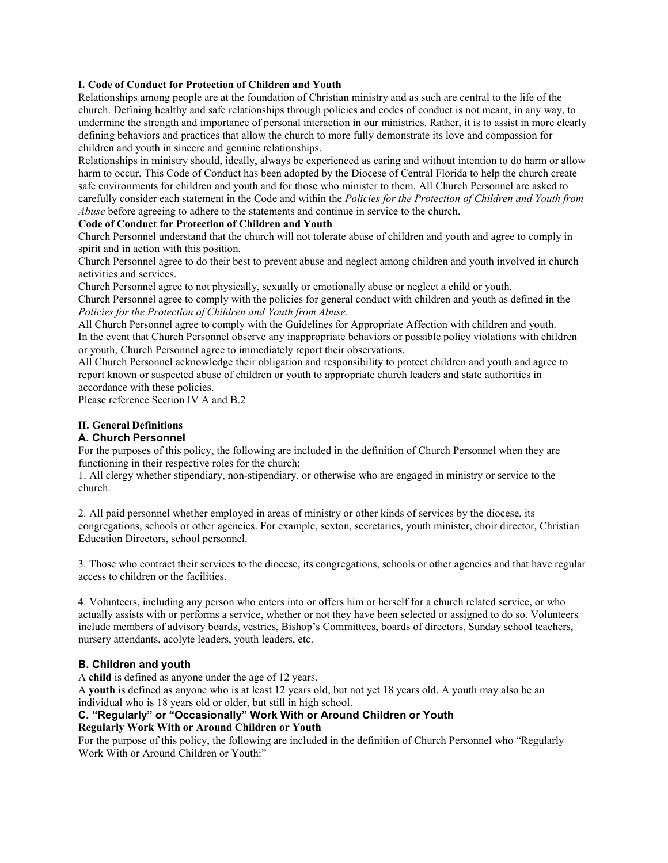## <span id="page-16-0"></span>**I. Code of Conduct for Protection of Children and Youth**

Relationships among people are at the foundation of Christian ministry and as such are central to the life of the church. Defining healthy and safe relationships through policies and codes of conduct is not meant, in any way, to undermine the strength and importance of personal interaction in our ministries. Rather, it is to assist in more clearly defining behaviors and practices that allow the church to more fully demonstrate its love and compassion for children and youth in sincere and genuine relationships.

Relationships in ministry should, ideally, always be experienced as caring and without intention to do harm or allow harm to occur. This Code of Conduct has been adopted by the Diocese of Central Florida to help the church create safe environments for children and youth and for those who minister to them. All Church Personnel are asked to carefully consider each statement in the Code and within the *Policies for the Protection of Children and Youth from Abuse* before agreeing to adhere to the statements and continue in service to the church.

#### **Code of Conduct for Protection of Children and Youth**

Church Personnel understand that the church will not tolerate abuse of children and youth and agree to comply in spirit and in action with this position.

Church Personnel agree to do their best to prevent abuse and neglect among children and youth involved in church activities and services.

Church Personnel agree to not physically, sexually or emotionally abuse or neglect a child or youth.

Church Personnel agree to comply with the policies for general conduct with children and youth as defined in the *Policies for the Protection of Children and Youth from Abuse*.

All Church Personnel agree to comply with the Guidelines for Appropriate Affection with children and youth. In the event that Church Personnel observe any inappropriate behaviors or possible policy violations with children or youth, Church Personnel agree to immediately report their observations.

All Church Personnel acknowledge their obligation and responsibility to protect children and youth and agree to report known or suspected abuse of children or youth to appropriate church leaders and state authorities in accordance with these policies.

Please reference Section IV A and B.2

## <span id="page-16-1"></span>**II. General Definitions**

#### <span id="page-16-2"></span>**A. Church Personnel**

For the purposes of this policy, the following are included in the definition of Church Personnel when they are functioning in their respective roles for the church:

1. All clergy whether stipendiary, non-stipendiary, or otherwise who are engaged in ministry or service to the church.

2. All paid personnel whether employed in areas of ministry or other kinds of services by the diocese, its congregations, schools or other agencies. For example, sexton, secretaries, youth minister, choir director, Christian Education Directors, school personnel.

3. Those who contract their services to the diocese, its congregations, schools or other agencies and that have regular access to children or the facilities.

4. Volunteers, including any person who enters into or offers him or herself for a church related service, or who actually assists with or performs a service, whether or not they have been selected or assigned to do so. Volunteers include members of advisory boards, vestries, Bishop's Committees, boards of directors, Sunday school teachers, nursery attendants, acolyte leaders, youth leaders, etc.

#### <span id="page-16-3"></span>**B. Children and youth**

A **child** is defined as anyone under the age of 12 years.

A **youth** is defined as anyone who is at least 12 years old, but not yet 18 years old. A youth may also be an individual who is 18 years old or older, but still in high school.

#### <span id="page-16-4"></span>**C. "Regularly" or "Occasionally" Work With or Around Children or Youth Regularly Work With or Around Children or Youth**

For the purpose of this policy, the following are included in the definition of Church Personnel who "Regularly Work With or Around Children or Youth:"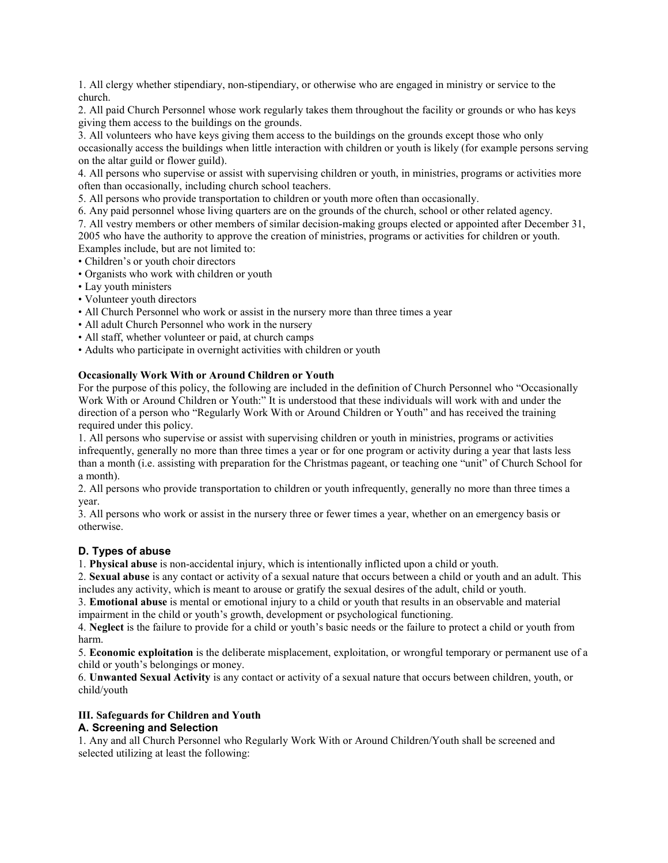1. All clergy whether stipendiary, non-stipendiary, or otherwise who are engaged in ministry or service to the church.

2. All paid Church Personnel whose work regularly takes them throughout the facility or grounds or who has keys giving them access to the buildings on the grounds.

3. All volunteers who have keys giving them access to the buildings on the grounds except those who only occasionally access the buildings when little interaction with children or youth is likely (for example persons serving on the altar guild or flower guild).

4. All persons who supervise or assist with supervising children or youth, in ministries, programs or activities more often than occasionally, including church school teachers.

5. All persons who provide transportation to children or youth more often than occasionally.

6. Any paid personnel whose living quarters are on the grounds of the church, school or other related agency.

7. All vestry members or other members of similar decision-making groups elected or appointed after December 31, 2005 who have the authority to approve the creation of ministries, programs or activities for children or youth. Examples include, but are not limited to:

- Children's or youth choir directors
- Organists who work with children or youth
- Lay youth ministers
- Volunteer youth directors
- All Church Personnel who work or assist in the nursery more than three times a year
- All adult Church Personnel who work in the nursery
- All staff, whether volunteer or paid, at church camps
- Adults who participate in overnight activities with children or youth

## **Occasionally Work With or Around Children or Youth**

For the purpose of this policy, the following are included in the definition of Church Personnel who "Occasionally Work With or Around Children or Youth:" It is understood that these individuals will work with and under the direction of a person who "Regularly Work With or Around Children or Youth" and has received the training required under this policy.

1. All persons who supervise or assist with supervising children or youth in ministries, programs or activities infrequently, generally no more than three times a year or for one program or activity during a year that lasts less than a month (i.e. assisting with preparation for the Christmas pageant, or teaching one "unit" of Church School for a month).

2. All persons who provide transportation to children or youth infrequently, generally no more than three times a year.

3. All persons who work or assist in the nursery three or fewer times a year, whether on an emergency basis or otherwise.

# <span id="page-17-0"></span>**D. Types of abuse**

1. **Physical abuse** is non-accidental injury, which is intentionally inflicted upon a child or youth.

2. **Sexual abuse** is any contact or activity of a sexual nature that occurs between a child or youth and an adult. This includes any activity, which is meant to arouse or gratify the sexual desires of the adult, child or youth.

3. **Emotional abuse** is mental or emotional injury to a child or youth that results in an observable and material impairment in the child or youth's growth, development or psychological functioning.

4. **Neglect** is the failure to provide for a child or youth's basic needs or the failure to protect a child or youth from harm.

5. **Economic exploitation** is the deliberate misplacement, exploitation, or wrongful temporary or permanent use of a child or youth's belongings or money.

6. **Unwanted Sexual Activity** is any contact or activity of a sexual nature that occurs between children, youth, or child/youth

# <span id="page-17-1"></span>**III. Safeguards for Children and Youth**

## <span id="page-17-2"></span>**A. Screening and Selection**

1. Any and all Church Personnel who Regularly Work With or Around Children/Youth shall be screened and selected utilizing at least the following: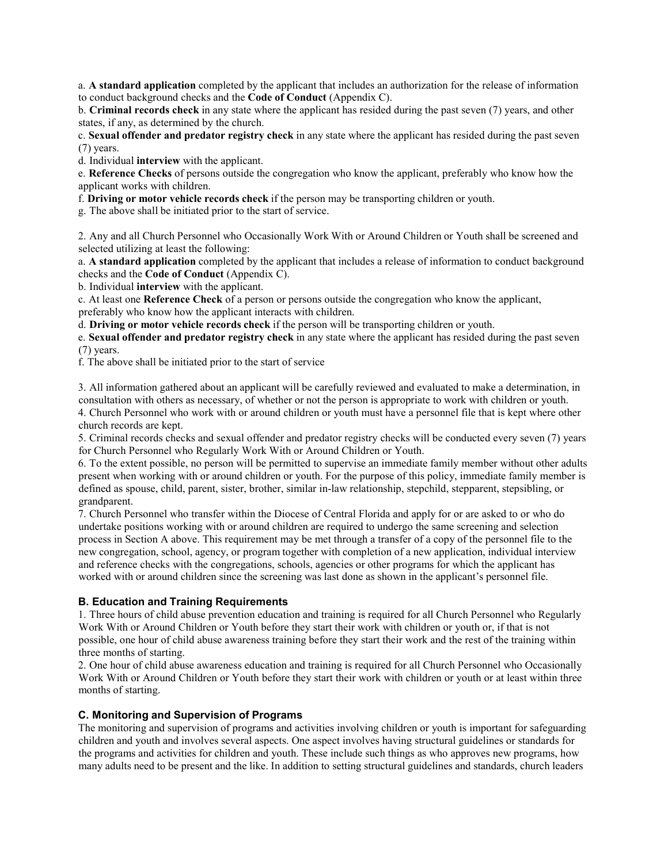a. **A standard application** completed by the applicant that includes an authorization for the release of information to conduct background checks and the **Code of Conduct** (Appendix C).

b. **Criminal records check** in any state where the applicant has resided during the past seven (7) years, and other states, if any, as determined by the church.

c. **Sexual offender and predator registry check** in any state where the applicant has resided during the past seven (7) years.

d. Individual **interview** with the applicant.

e. **Reference Checks** of persons outside the congregation who know the applicant, preferably who know how the applicant works with children.

f. **Driving or motor vehicle records check** if the person may be transporting children or youth.

g. The above shall be initiated prior to the start of service.

2. Any and all Church Personnel who Occasionally Work With or Around Children or Youth shall be screened and selected utilizing at least the following:

a. **A standard application** completed by the applicant that includes a release of information to conduct background checks and the **Code of Conduct** (Appendix C).

b. Individual **interview** with the applicant.

c. At least one **Reference Check** of a person or persons outside the congregation who know the applicant, preferably who know how the applicant interacts with children.

d. **Driving or motor vehicle records check** if the person will be transporting children or youth.

e. **Sexual offender and predator registry check** in any state where the applicant has resided during the past seven (7) years.

f. The above shall be initiated prior to the start of service

3. All information gathered about an applicant will be carefully reviewed and evaluated to make a determination, in consultation with others as necessary, of whether or not the person is appropriate to work with children or youth. 4. Church Personnel who work with or around children or youth must have a personnel file that is kept where other church records are kept.

5. Criminal records checks and sexual offender and predator registry checks will be conducted every seven (7) years for Church Personnel who Regularly Work With or Around Children or Youth.

6. To the extent possible, no person will be permitted to supervise an immediate family member without other adults present when working with or around children or youth. For the purpose of this policy, immediate family member is defined as spouse, child, parent, sister, brother, similar in-law relationship, stepchild, stepparent, stepsibling, or grandparent.

7. Church Personnel who transfer within the Diocese of Central Florida and apply for or are asked to or who do undertake positions working with or around children are required to undergo the same screening and selection process in Section A above. This requirement may be met through a transfer of a copy of the personnel file to the new congregation, school, agency, or program together with completion of a new application, individual interview and reference checks with the congregations, schools, agencies or other programs for which the applicant has worked with or around children since the screening was last done as shown in the applicant's personnel file.

## <span id="page-18-0"></span>**B. Education and Training Requirements**

1. Three hours of child abuse prevention education and training is required for all Church Personnel who Regularly Work With or Around Children or Youth before they start their work with children or youth or, if that is not possible, one hour of child abuse awareness training before they start their work and the rest of the training within three months of starting.

2. One hour of child abuse awareness education and training is required for all Church Personnel who Occasionally Work With or Around Children or Youth before they start their work with children or youth or at least within three months of starting.

## <span id="page-18-1"></span>**C. Monitoring and Supervision of Programs**

The monitoring and supervision of programs and activities involving children or youth is important for safeguarding children and youth and involves several aspects. One aspect involves having structural guidelines or standards for the programs and activities for children and youth. These include such things as who approves new programs, how many adults need to be present and the like. In addition to setting structural guidelines and standards, church leaders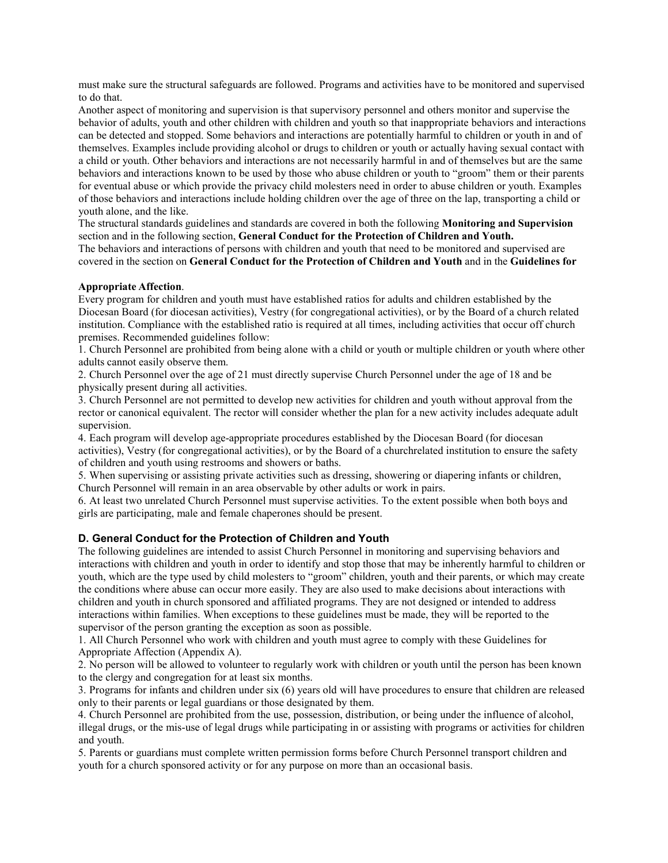must make sure the structural safeguards are followed. Programs and activities have to be monitored and supervised to do that.

Another aspect of monitoring and supervision is that supervisory personnel and others monitor and supervise the behavior of adults, youth and other children with children and youth so that inappropriate behaviors and interactions can be detected and stopped. Some behaviors and interactions are potentially harmful to children or youth in and of themselves. Examples include providing alcohol or drugs to children or youth or actually having sexual contact with a child or youth. Other behaviors and interactions are not necessarily harmful in and of themselves but are the same behaviors and interactions known to be used by those who abuse children or youth to "groom" them or their parents for eventual abuse or which provide the privacy child molesters need in order to abuse children or youth. Examples of those behaviors and interactions include holding children over the age of three on the lap, transporting a child or youth alone, and the like.

The structural standards guidelines and standards are covered in both the following **Monitoring and Supervision** section and in the following section, **General Conduct for the Protection of Children and Youth.**

The behaviors and interactions of persons with children and youth that need to be monitored and supervised are covered in the section on **General Conduct for the Protection of Children and Youth** and in the **Guidelines for**

#### **Appropriate Affection**.

Every program for children and youth must have established ratios for adults and children established by the Diocesan Board (for diocesan activities), Vestry (for congregational activities), or by the Board of a church related institution. Compliance with the established ratio is required at all times, including activities that occur off church premises. Recommended guidelines follow:

1. Church Personnel are prohibited from being alone with a child or youth or multiple children or youth where other adults cannot easily observe them.

2. Church Personnel over the age of 21 must directly supervise Church Personnel under the age of 18 and be physically present during all activities.

3. Church Personnel are not permitted to develop new activities for children and youth without approval from the rector or canonical equivalent. The rector will consider whether the plan for a new activity includes adequate adult supervision.

4. Each program will develop age-appropriate procedures established by the Diocesan Board (for diocesan activities), Vestry (for congregational activities), or by the Board of a churchrelated institution to ensure the safety of children and youth using restrooms and showers or baths.

5. When supervising or assisting private activities such as dressing, showering or diapering infants or children, Church Personnel will remain in an area observable by other adults or work in pairs.

6. At least two unrelated Church Personnel must supervise activities. To the extent possible when both boys and girls are participating, male and female chaperones should be present.

#### <span id="page-19-0"></span>**D. General Conduct for the Protection of Children and Youth**

The following guidelines are intended to assist Church Personnel in monitoring and supervising behaviors and interactions with children and youth in order to identify and stop those that may be inherently harmful to children or youth, which are the type used by child molesters to "groom" children, youth and their parents, or which may create the conditions where abuse can occur more easily. They are also used to make decisions about interactions with children and youth in church sponsored and affiliated programs. They are not designed or intended to address interactions within families. When exceptions to these guidelines must be made, they will be reported to the supervisor of the person granting the exception as soon as possible.

1. All Church Personnel who work with children and youth must agree to comply with these Guidelines for Appropriate Affection (Appendix A).

2. No person will be allowed to volunteer to regularly work with children or youth until the person has been known to the clergy and congregation for at least six months.

3. Programs for infants and children under six (6) years old will have procedures to ensure that children are released only to their parents or legal guardians or those designated by them.

4. Church Personnel are prohibited from the use, possession, distribution, or being under the influence of alcohol, illegal drugs, or the mis-use of legal drugs while participating in or assisting with programs or activities for children and youth.

5. Parents or guardians must complete written permission forms before Church Personnel transport children and youth for a church sponsored activity or for any purpose on more than an occasional basis.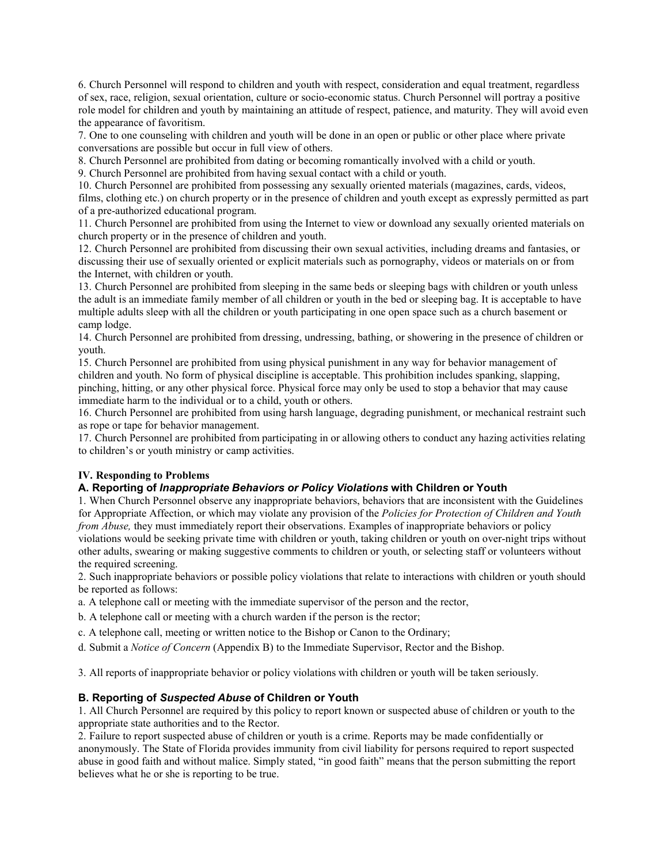6. Church Personnel will respond to children and youth with respect, consideration and equal treatment, regardless of sex, race, religion, sexual orientation, culture or socio-economic status. Church Personnel will portray a positive role model for children and youth by maintaining an attitude of respect, patience, and maturity. They will avoid even the appearance of favoritism.

7. One to one counseling with children and youth will be done in an open or public or other place where private conversations are possible but occur in full view of others.

8. Church Personnel are prohibited from dating or becoming romantically involved with a child or youth.

9. Church Personnel are prohibited from having sexual contact with a child or youth.

10. Church Personnel are prohibited from possessing any sexually oriented materials (magazines, cards, videos, films, clothing etc.) on church property or in the presence of children and youth except as expressly permitted as part of a pre-authorized educational program.

11. Church Personnel are prohibited from using the Internet to view or download any sexually oriented materials on church property or in the presence of children and youth.

12. Church Personnel are prohibited from discussing their own sexual activities, including dreams and fantasies, or discussing their use of sexually oriented or explicit materials such as pornography, videos or materials on or from the Internet, with children or youth.

13. Church Personnel are prohibited from sleeping in the same beds or sleeping bags with children or youth unless the adult is an immediate family member of all children or youth in the bed or sleeping bag. It is acceptable to have multiple adults sleep with all the children or youth participating in one open space such as a church basement or camp lodge.

14. Church Personnel are prohibited from dressing, undressing, bathing, or showering in the presence of children or youth.

15. Church Personnel are prohibited from using physical punishment in any way for behavior management of children and youth. No form of physical discipline is acceptable. This prohibition includes spanking, slapping, pinching, hitting, or any other physical force. Physical force may only be used to stop a behavior that may cause immediate harm to the individual or to a child, youth or others.

16. Church Personnel are prohibited from using harsh language, degrading punishment, or mechanical restraint such as rope or tape for behavior management.

17. Church Personnel are prohibited from participating in or allowing others to conduct any hazing activities relating to children's or youth ministry or camp activities.

## <span id="page-20-0"></span>**IV. Responding to Problems**

## **A. Reporting of** *Inappropriate Behaviors or Policy Violations* **with Children or Youth**

1. When Church Personnel observe any inappropriate behaviors, behaviors that are inconsistent with the Guidelines for Appropriate Affection, or which may violate any provision of the *Policies for Protection of Children and Youth from Abuse*, they must immediately report their observations. Examples of inappropriate behaviors or policy violations would be seeking private time with children or youth, taking children or youth on over-night trips without other adults, swearing or making suggestive comments to children or youth, or selecting staff or volunteers without the required screening.

2. Such inappropriate behaviors or possible policy violations that relate to interactions with children or youth should be reported as follows:

a. A telephone call or meeting with the immediate supervisor of the person and the rector,

b. A telephone call or meeting with a church warden if the person is the rector;

c. A telephone call, meeting or written notice to the Bishop or Canon to the Ordinary;

d. Submit a *Notice of Concern* (Appendix B) to the Immediate Supervisor, Rector and the Bishop.

3. All reports of inappropriate behavior or policy violations with children or youth will be taken seriously.

## **B. Reporting of** *Suspected Abuse* **of Children or Youth**

1. All Church Personnel are required by this policy to report known or suspected abuse of children or youth to the appropriate state authorities and to the Rector.

2. Failure to report suspected abuse of children or youth is a crime. Reports may be made confidentially or anonymously. The State of Florida provides immunity from civil liability for persons required to report suspected abuse in good faith and without malice. Simply stated, "in good faith" means that the person submitting the report believes what he or she is reporting to be true.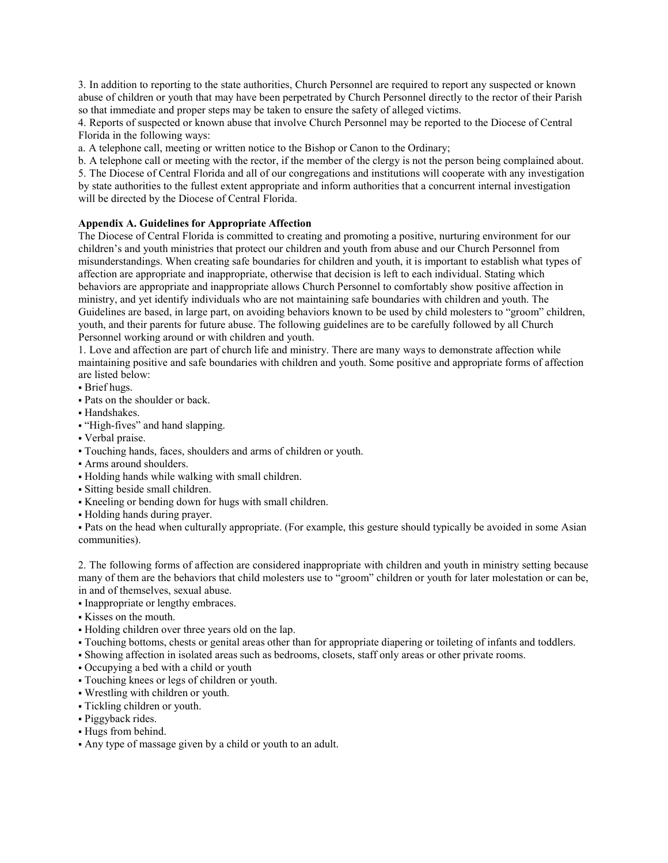3. In addition to reporting to the state authorities, Church Personnel are required to report any suspected or known abuse of children or youth that may have been perpetrated by Church Personnel directly to the rector of their Parish so that immediate and proper steps may be taken to ensure the safety of alleged victims.

4. Reports of suspected or known abuse that involve Church Personnel may be reported to the Diocese of Central Florida in the following ways:

a. A telephone call, meeting or written notice to the Bishop or Canon to the Ordinary;

b. A telephone call or meeting with the rector, if the member of the clergy is not the person being complained about.

5. The Diocese of Central Florida and all of our congregations and institutions will cooperate with any investigation by state authorities to the fullest extent appropriate and inform authorities that a concurrent internal investigation will be directed by the Diocese of Central Florida.

## <span id="page-21-0"></span>**Appendix A. Guidelines for Appropriate Affection**

The Diocese of Central Florida is committed to creating and promoting a positive, nurturing environment for our children's and youth ministries that protect our children and youth from abuse and our Church Personnel from misunderstandings. When creating safe boundaries for children and youth, it is important to establish what types of affection are appropriate and inappropriate, otherwise that decision is left to each individual. Stating which behaviors are appropriate and inappropriate allows Church Personnel to comfortably show positive affection in ministry, and yet identify individuals who are not maintaining safe boundaries with children and youth. The Guidelines are based, in large part, on avoiding behaviors known to be used by child molesters to "groom" children, youth, and their parents for future abuse. The following guidelines are to be carefully followed by all Church Personnel working around or with children and youth.

1. Love and affection are part of church life and ministry. There are many ways to demonstrate affection while maintaining positive and safe boundaries with children and youth. Some positive and appropriate forms of affection are listed below:

- **·** Brief hugs.
- Pats on the shoulder or back.
- Handshakes.
- "High-fives" and hand slapping.
- Verbal praise.
- Touching hands, faces, shoulders and arms of children or youth.
- Arms around shoulders.
- Holding hands while walking with small children.
- Sitting beside small children.
- Kneeling or bending down for hugs with small children.
- Holding hands during prayer.

▪ Pats on the head when culturally appropriate. (For example, this gesture should typically be avoided in some Asian communities).

2. The following forms of affection are considered inappropriate with children and youth in ministry setting because many of them are the behaviors that child molesters use to "groom" children or youth for later molestation or can be, in and of themselves, sexual abuse.

- Inappropriate or lengthy embraces.
- Kisses on the mouth.
- Holding children over three years old on the lap.
- Touching bottoms, chests or genital areas other than for appropriate diapering or toileting of infants and toddlers.
- Showing affection in isolated areas such as bedrooms, closets, staff only areas or other private rooms.
- Occupying a bed with a child or youth
- Touching knees or legs of children or youth.
- Wrestling with children or youth.
- Tickling children or youth.
- · Piggyback rides.
- Hugs from behind.
- Any type of massage given by a child or youth to an adult.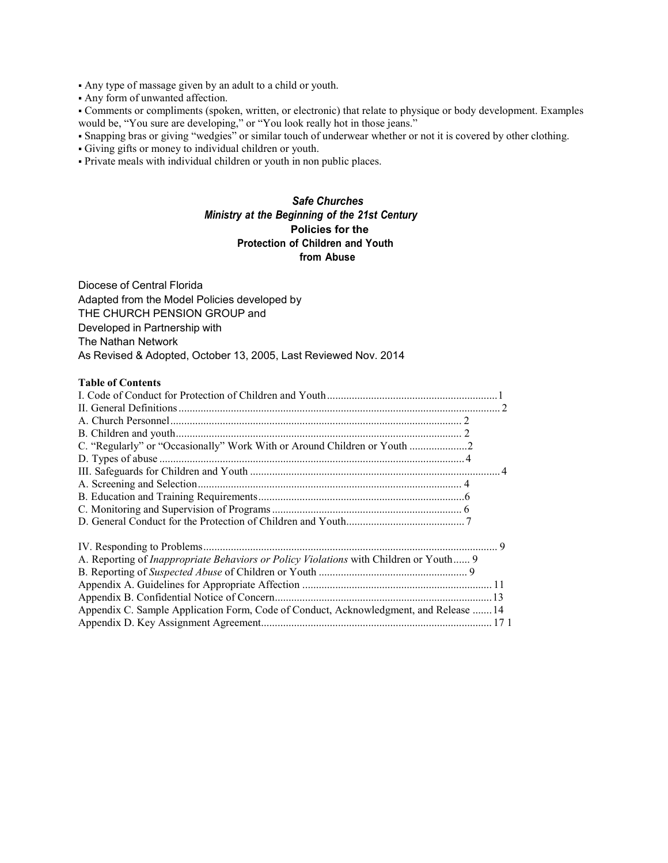▪ Any type of massage given by an adult to a child or youth.

▪ Any form of unwanted affection.

▪ Comments or compliments (spoken, written, or electronic) that relate to physique or body development. Examples would be, "You sure are developing," or "You look really hot in those jeans."

▪ Snapping bras or giving "wedgies" or similar touch of underwear whether or not it is covered by other clothing.

▪ Giving gifts or money to individual children or youth.

▪ Private meals with individual children or youth in non public places.

# *Safe Churches Ministry at the Beginning of the 21st Century* **Policies for the Protection of Children and Youth from Abuse**

Diocese of Central Florida Adapted from the Model Policies developed by THE CHURCH PENSION GROUP and Developed in Partnership with The Nathan Network As Revised & Adopted, October 13, 2005, Last Reviewed Nov. 2014

#### **Table of Contents**

| C. "Regularly" or "Occasionally" Work With or Around Children or Youth 2                     |  |
|----------------------------------------------------------------------------------------------|--|
|                                                                                              |  |
|                                                                                              |  |
|                                                                                              |  |
|                                                                                              |  |
|                                                                                              |  |
|                                                                                              |  |
|                                                                                              |  |
| A. Reporting of <i>Inappropriate Behaviors or Policy Violations</i> with Children or Youth 9 |  |
|                                                                                              |  |
|                                                                                              |  |
|                                                                                              |  |
| Appendix C. Sample Application Form, Code of Conduct, Acknowledgment, and Release  14        |  |
|                                                                                              |  |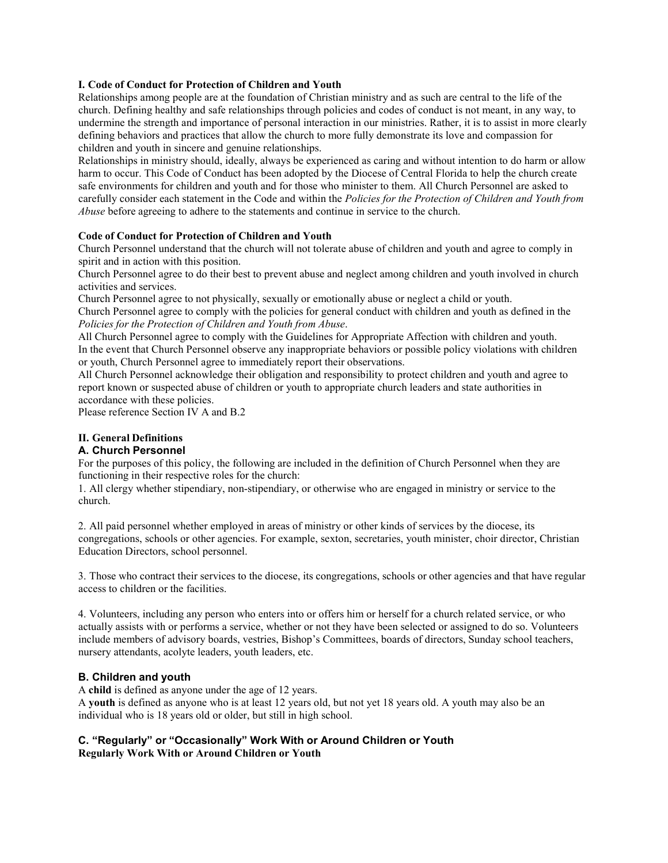## **I. Code of Conduct for Protection of Children and Youth**

Relationships among people are at the foundation of Christian ministry and as such are central to the life of the church. Defining healthy and safe relationships through policies and codes of conduct is not meant, in any way, to undermine the strength and importance of personal interaction in our ministries. Rather, it is to assist in more clearly defining behaviors and practices that allow the church to more fully demonstrate its love and compassion for children and youth in sincere and genuine relationships.

Relationships in ministry should, ideally, always be experienced as caring and without intention to do harm or allow harm to occur. This Code of Conduct has been adopted by the Diocese of Central Florida to help the church create safe environments for children and youth and for those who minister to them. All Church Personnel are asked to carefully consider each statement in the Code and within the *Policies for the Protection of Children and Youth from Abuse* before agreeing to adhere to the statements and continue in service to the church.

#### **Code of Conduct for Protection of Children and Youth**

Church Personnel understand that the church will not tolerate abuse of children and youth and agree to comply in spirit and in action with this position.

Church Personnel agree to do their best to prevent abuse and neglect among children and youth involved in church activities and services.

Church Personnel agree to not physically, sexually or emotionally abuse or neglect a child or youth.

Church Personnel agree to comply with the policies for general conduct with children and youth as defined in the *Policies for the Protection of Children and Youth from Abuse*.

All Church Personnel agree to comply with the Guidelines for Appropriate Affection with children and youth. In the event that Church Personnel observe any inappropriate behaviors or possible policy violations with children or youth, Church Personnel agree to immediately report their observations.

All Church Personnel acknowledge their obligation and responsibility to protect children and youth and agree to report known or suspected abuse of children or youth to appropriate church leaders and state authorities in accordance with these policies.

Please reference Section IV A and B.2

## **II. General Definitions**

#### **A. Church Personnel**

For the purposes of this policy, the following are included in the definition of Church Personnel when they are functioning in their respective roles for the church:

1. All clergy whether stipendiary, non-stipendiary, or otherwise who are engaged in ministry or service to the church.

2. All paid personnel whether employed in areas of ministry or other kinds of services by the diocese, its congregations, schools or other agencies. For example, sexton, secretaries, youth minister, choir director, Christian Education Directors, school personnel.

3. Those who contract their services to the diocese, its congregations, schools or other agencies and that have regular access to children or the facilities.

4. Volunteers, including any person who enters into or offers him or herself for a church related service, or who actually assists with or performs a service, whether or not they have been selected or assigned to do so. Volunteers include members of advisory boards, vestries, Bishop's Committees, boards of directors, Sunday school teachers, nursery attendants, acolyte leaders, youth leaders, etc.

## **B. Children and youth**

A **child** is defined as anyone under the age of 12 years.

A **youth** is defined as anyone who is at least 12 years old, but not yet 18 years old. A youth may also be an individual who is 18 years old or older, but still in high school.

## **C. "Regularly" or "Occasionally" Work With or Around Children or Youth Regularly Work With or Around Children or Youth**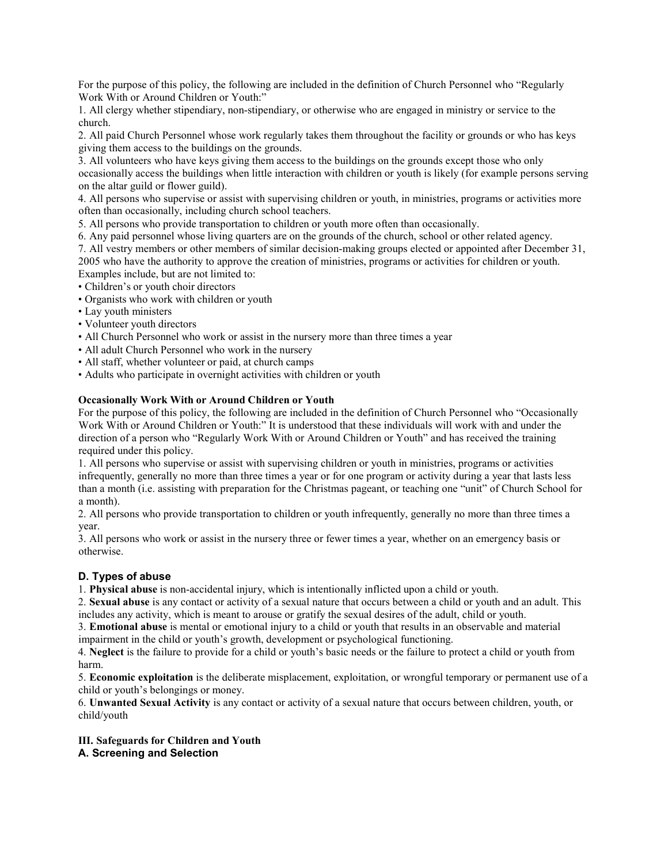For the purpose of this policy, the following are included in the definition of Church Personnel who "Regularly Work With or Around Children or Youth:"

1. All clergy whether stipendiary, non-stipendiary, or otherwise who are engaged in ministry or service to the church.

2. All paid Church Personnel whose work regularly takes them throughout the facility or grounds or who has keys giving them access to the buildings on the grounds.

3. All volunteers who have keys giving them access to the buildings on the grounds except those who only occasionally access the buildings when little interaction with children or youth is likely (for example persons serving on the altar guild or flower guild).

4. All persons who supervise or assist with supervising children or youth, in ministries, programs or activities more often than occasionally, including church school teachers.

5. All persons who provide transportation to children or youth more often than occasionally.

6. Any paid personnel whose living quarters are on the grounds of the church, school or other related agency.

7. All vestry members or other members of similar decision-making groups elected or appointed after December 31, 2005 who have the authority to approve the creation of ministries, programs or activities for children or youth. Examples include, but are not limited to:

• Children's or youth choir directors

• Organists who work with children or youth

- Lay youth ministers
- Volunteer youth directors
- All Church Personnel who work or assist in the nursery more than three times a year
- All adult Church Personnel who work in the nursery
- All staff, whether volunteer or paid, at church camps
- Adults who participate in overnight activities with children or youth

## **Occasionally Work With or Around Children or Youth**

For the purpose of this policy, the following are included in the definition of Church Personnel who "Occasionally Work With or Around Children or Youth:" It is understood that these individuals will work with and under the direction of a person who "Regularly Work With or Around Children or Youth" and has received the training required under this policy.

1. All persons who supervise or assist with supervising children or youth in ministries, programs or activities infrequently, generally no more than three times a year or for one program or activity during a year that lasts less than a month (i.e. assisting with preparation for the Christmas pageant, or teaching one "unit" of Church School for a month).

2. All persons who provide transportation to children or youth infrequently, generally no more than three times a year.

3. All persons who work or assist in the nursery three or fewer times a year, whether on an emergency basis or otherwise.

# **D. Types of abuse**

1. **Physical abuse** is non-accidental injury, which is intentionally inflicted upon a child or youth.

2. **Sexual abuse** is any contact or activity of a sexual nature that occurs between a child or youth and an adult. This includes any activity, which is meant to arouse or gratify the sexual desires of the adult, child or youth.

3. **Emotional abuse** is mental or emotional injury to a child or youth that results in an observable and material impairment in the child or youth's growth, development or psychological functioning.

4. **Neglect** is the failure to provide for a child or youth's basic needs or the failure to protect a child or youth from harm.

5. **Economic exploitation** is the deliberate misplacement, exploitation, or wrongful temporary or permanent use of a child or youth's belongings or money.

6. **Unwanted Sexual Activity** is any contact or activity of a sexual nature that occurs between children, youth, or child/youth

**III. Safeguards for Children and Youth A. Screening and Selection**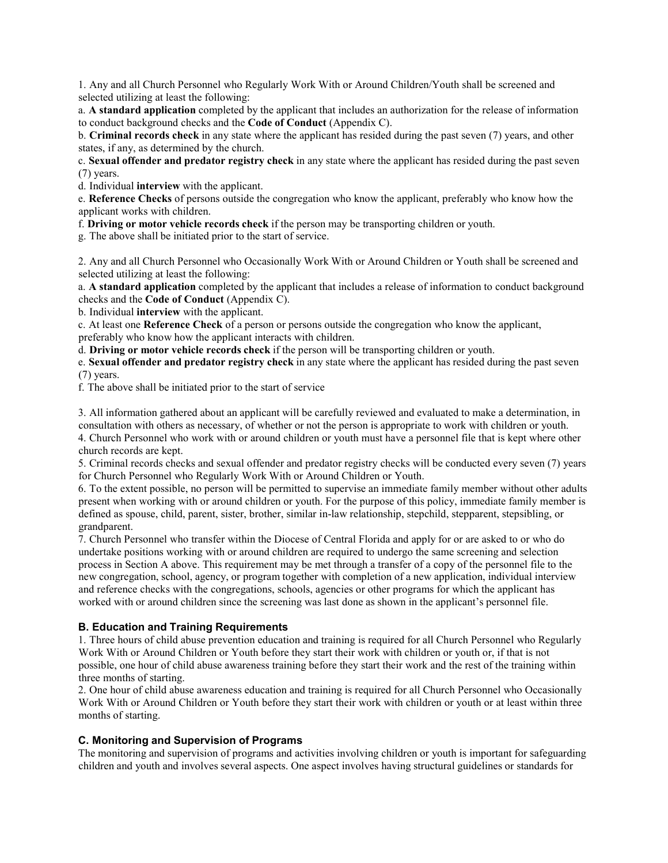1. Any and all Church Personnel who Regularly Work With or Around Children/Youth shall be screened and selected utilizing at least the following:

a. **A standard application** completed by the applicant that includes an authorization for the release of information to conduct background checks and the **Code of Conduct** (Appendix C).

b. **Criminal records check** in any state where the applicant has resided during the past seven (7) years, and other states, if any, as determined by the church.

c. **Sexual offender and predator registry check** in any state where the applicant has resided during the past seven (7) years.

d. Individual **interview** with the applicant.

e. **Reference Checks** of persons outside the congregation who know the applicant, preferably who know how the applicant works with children.

f. **Driving or motor vehicle records check** if the person may be transporting children or youth.

g. The above shall be initiated prior to the start of service.

2. Any and all Church Personnel who Occasionally Work With or Around Children or Youth shall be screened and selected utilizing at least the following:

a. **A standard application** completed by the applicant that includes a release of information to conduct background checks and the **Code of Conduct** (Appendix C).

b. Individual **interview** with the applicant.

c. At least one **Reference Check** of a person or persons outside the congregation who know the applicant,

preferably who know how the applicant interacts with children.

d. **Driving or motor vehicle records check** if the person will be transporting children or youth.

e. **Sexual offender and predator registry check** in any state where the applicant has resided during the past seven (7) years.

f. The above shall be initiated prior to the start of service

3. All information gathered about an applicant will be carefully reviewed and evaluated to make a determination, in consultation with others as necessary, of whether or not the person is appropriate to work with children or youth.

4. Church Personnel who work with or around children or youth must have a personnel file that is kept where other church records are kept.

5. Criminal records checks and sexual offender and predator registry checks will be conducted every seven (7) years for Church Personnel who Regularly Work With or Around Children or Youth.

6. To the extent possible, no person will be permitted to supervise an immediate family member without other adults present when working with or around children or youth. For the purpose of this policy, immediate family member is defined as spouse, child, parent, sister, brother, similar in-law relationship, stepchild, stepparent, stepsibling, or grandparent.

7. Church Personnel who transfer within the Diocese of Central Florida and apply for or are asked to or who do undertake positions working with or around children are required to undergo the same screening and selection process in Section A above. This requirement may be met through a transfer of a copy of the personnel file to the new congregation, school, agency, or program together with completion of a new application, individual interview and reference checks with the congregations, schools, agencies or other programs for which the applicant has worked with or around children since the screening was last done as shown in the applicant's personnel file.

## **B. Education and Training Requirements**

1. Three hours of child abuse prevention education and training is required for all Church Personnel who Regularly Work With or Around Children or Youth before they start their work with children or youth or, if that is not possible, one hour of child abuse awareness training before they start their work and the rest of the training within three months of starting.

2. One hour of child abuse awareness education and training is required for all Church Personnel who Occasionally Work With or Around Children or Youth before they start their work with children or youth or at least within three months of starting.

## **C. Monitoring and Supervision of Programs**

The monitoring and supervision of programs and activities involving children or youth is important for safeguarding children and youth and involves several aspects. One aspect involves having structural guidelines or standards for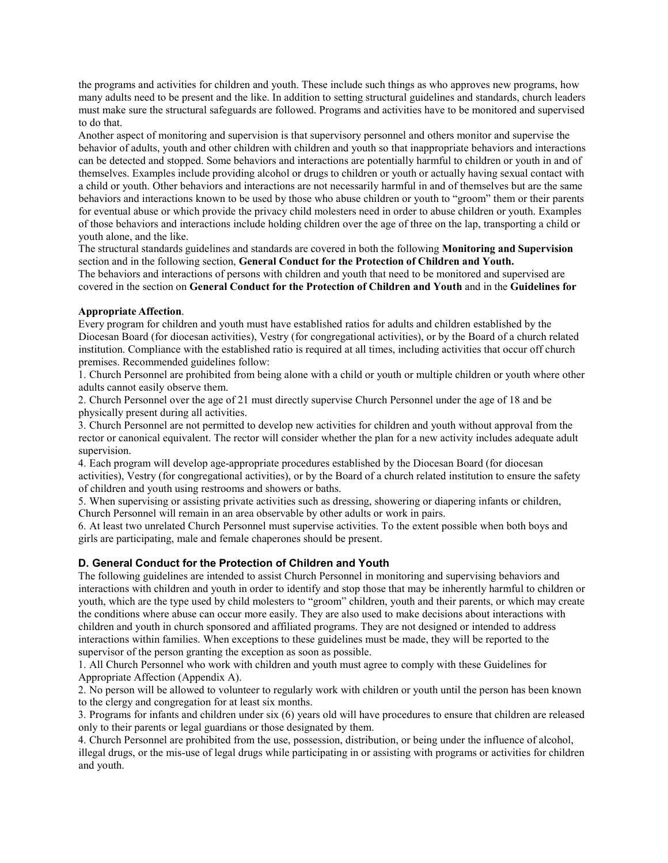the programs and activities for children and youth. These include such things as who approves new programs, how many adults need to be present and the like. In addition to setting structural guidelines and standards, church leaders must make sure the structural safeguards are followed. Programs and activities have to be monitored and supervised to do that.

Another aspect of monitoring and supervision is that supervisory personnel and others monitor and supervise the behavior of adults, youth and other children with children and youth so that inappropriate behaviors and interactions can be detected and stopped. Some behaviors and interactions are potentially harmful to children or youth in and of themselves. Examples include providing alcohol or drugs to children or youth or actually having sexual contact with a child or youth. Other behaviors and interactions are not necessarily harmful in and of themselves but are the same behaviors and interactions known to be used by those who abuse children or youth to "groom" them or their parents for eventual abuse or which provide the privacy child molesters need in order to abuse children or youth. Examples of those behaviors and interactions include holding children over the age of three on the lap, transporting a child or youth alone, and the like.

The structural standards guidelines and standards are covered in both the following **Monitoring and Supervision** section and in the following section, **General Conduct for the Protection of Children and Youth.**

The behaviors and interactions of persons with children and youth that need to be monitored and supervised are covered in the section on **General Conduct for the Protection of Children and Youth** and in the **Guidelines for**

#### **Appropriate Affection**.

Every program for children and youth must have established ratios for adults and children established by the Diocesan Board (for diocesan activities), Vestry (for congregational activities), or by the Board of a church related institution. Compliance with the established ratio is required at all times, including activities that occur off church premises. Recommended guidelines follow:

1. Church Personnel are prohibited from being alone with a child or youth or multiple children or youth where other adults cannot easily observe them.

2. Church Personnel over the age of 21 must directly supervise Church Personnel under the age of 18 and be physically present during all activities.

3. Church Personnel are not permitted to develop new activities for children and youth without approval from the rector or canonical equivalent. The rector will consider whether the plan for a new activity includes adequate adult supervision.

4. Each program will develop age-appropriate procedures established by the Diocesan Board (for diocesan activities), Vestry (for congregational activities), or by the Board of a church related institution to ensure the safety of children and youth using restrooms and showers or baths.

5. When supervising or assisting private activities such as dressing, showering or diapering infants or children, Church Personnel will remain in an area observable by other adults or work in pairs.

6. At least two unrelated Church Personnel must supervise activities. To the extent possible when both boys and girls are participating, male and female chaperones should be present.

## **D. General Conduct for the Protection of Children and Youth**

The following guidelines are intended to assist Church Personnel in monitoring and supervising behaviors and interactions with children and youth in order to identify and stop those that may be inherently harmful to children or youth, which are the type used by child molesters to "groom" children, youth and their parents, or which may create the conditions where abuse can occur more easily. They are also used to make decisions about interactions with children and youth in church sponsored and affiliated programs. They are not designed or intended to address interactions within families. When exceptions to these guidelines must be made, they will be reported to the supervisor of the person granting the exception as soon as possible.

1. All Church Personnel who work with children and youth must agree to comply with these Guidelines for Appropriate Affection (Appendix A).

2. No person will be allowed to volunteer to regularly work with children or youth until the person has been known to the clergy and congregation for at least six months.

3. Programs for infants and children under six (6) years old will have procedures to ensure that children are released only to their parents or legal guardians or those designated by them.

4. Church Personnel are prohibited from the use, possession, distribution, or being under the influence of alcohol, illegal drugs, or the mis-use of legal drugs while participating in or assisting with programs or activities for children and youth.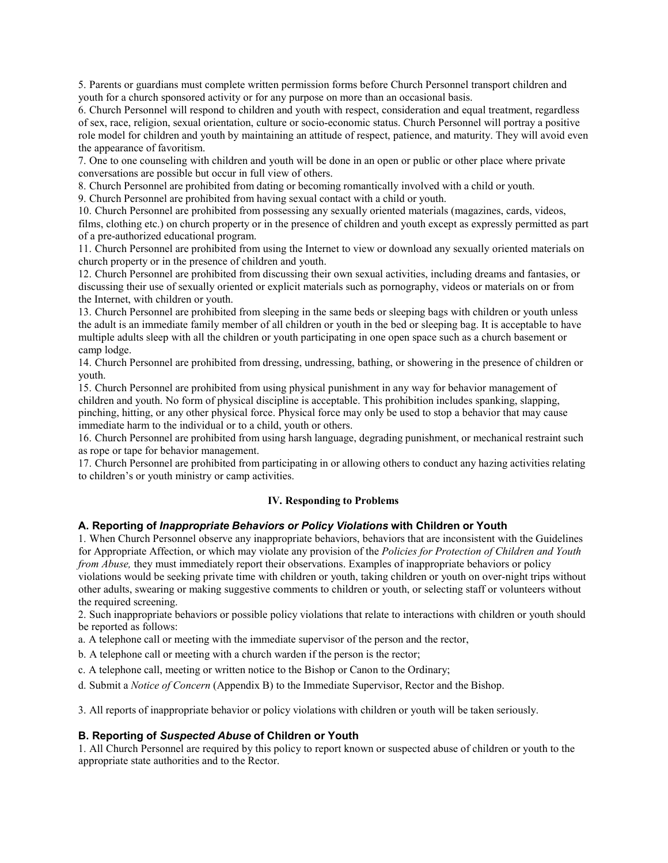5. Parents or guardians must complete written permission forms before Church Personnel transport children and youth for a church sponsored activity or for any purpose on more than an occasional basis.

6. Church Personnel will respond to children and youth with respect, consideration and equal treatment, regardless of sex, race, religion, sexual orientation, culture or socio-economic status. Church Personnel will portray a positive role model for children and youth by maintaining an attitude of respect, patience, and maturity. They will avoid even the appearance of favoritism.

7. One to one counseling with children and youth will be done in an open or public or other place where private conversations are possible but occur in full view of others.

8. Church Personnel are prohibited from dating or becoming romantically involved with a child or youth.

9. Church Personnel are prohibited from having sexual contact with a child or youth.

10. Church Personnel are prohibited from possessing any sexually oriented materials (magazines, cards, videos, films, clothing etc.) on church property or in the presence of children and youth except as expressly permitted as part of a pre-authorized educational program.

11. Church Personnel are prohibited from using the Internet to view or download any sexually oriented materials on church property or in the presence of children and youth.

12. Church Personnel are prohibited from discussing their own sexual activities, including dreams and fantasies, or discussing their use of sexually oriented or explicit materials such as pornography, videos or materials on or from the Internet, with children or youth.

13. Church Personnel are prohibited from sleeping in the same beds or sleeping bags with children or youth unless the adult is an immediate family member of all children or youth in the bed or sleeping bag. It is acceptable to have multiple adults sleep with all the children or youth participating in one open space such as a church basement or camp lodge.

14. Church Personnel are prohibited from dressing, undressing, bathing, or showering in the presence of children or youth.

15. Church Personnel are prohibited from using physical punishment in any way for behavior management of children and youth. No form of physical discipline is acceptable. This prohibition includes spanking, slapping, pinching, hitting, or any other physical force. Physical force may only be used to stop a behavior that may cause immediate harm to the individual or to a child, youth or others.

16. Church Personnel are prohibited from using harsh language, degrading punishment, or mechanical restraint such as rope or tape for behavior management.

17. Church Personnel are prohibited from participating in or allowing others to conduct any hazing activities relating to children's or youth ministry or camp activities.

## **IV. Responding to Problems**

#### **A. Reporting of** *Inappropriate Behaviors or Policy Violations* **with Children or Youth**

1. When Church Personnel observe any inappropriate behaviors, behaviors that are inconsistent with the Guidelines for Appropriate Affection, or which may violate any provision of the *Policies for Protection of Children and Youth from Abuse*, they must immediately report their observations. Examples of inappropriate behaviors or policy violations would be seeking private time with children or youth, taking children or youth on over-night trips without other adults, swearing or making suggestive comments to children or youth, or selecting staff or volunteers without the required screening.

2. Such inappropriate behaviors or possible policy violations that relate to interactions with children or youth should be reported as follows:

a. A telephone call or meeting with the immediate supervisor of the person and the rector,

b. A telephone call or meeting with a church warden if the person is the rector;

c. A telephone call, meeting or written notice to the Bishop or Canon to the Ordinary;

d. Submit a *Notice of Concern* (Appendix B) to the Immediate Supervisor, Rector and the Bishop.

3. All reports of inappropriate behavior or policy violations with children or youth will be taken seriously.

#### **B. Reporting of** *Suspected Abuse* **of Children or Youth**

1. All Church Personnel are required by this policy to report known or suspected abuse of children or youth to the appropriate state authorities and to the Rector.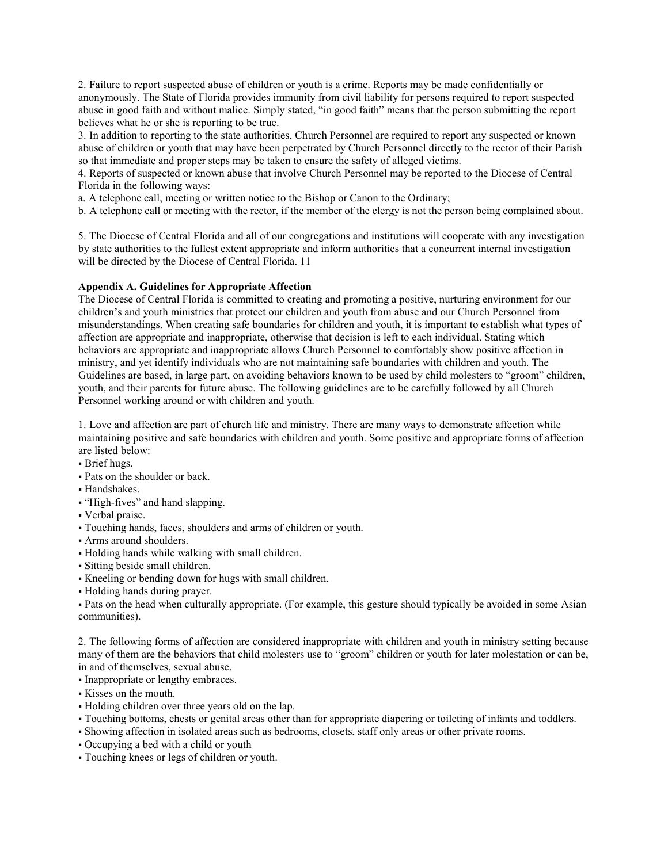2. Failure to report suspected abuse of children or youth is a crime. Reports may be made confidentially or anonymously. The State of Florida provides immunity from civil liability for persons required to report suspected abuse in good faith and without malice. Simply stated, "in good faith" means that the person submitting the report believes what he or she is reporting to be true.

3. In addition to reporting to the state authorities, Church Personnel are required to report any suspected or known abuse of children or youth that may have been perpetrated by Church Personnel directly to the rector of their Parish so that immediate and proper steps may be taken to ensure the safety of alleged victims.

4. Reports of suspected or known abuse that involve Church Personnel may be reported to the Diocese of Central Florida in the following ways:

a. A telephone call, meeting or written notice to the Bishop or Canon to the Ordinary;

b. A telephone call or meeting with the rector, if the member of the clergy is not the person being complained about.

5. The Diocese of Central Florida and all of our congregations and institutions will cooperate with any investigation by state authorities to the fullest extent appropriate and inform authorities that a concurrent internal investigation will be directed by the Diocese of Central Florida. 11

#### **Appendix A. Guidelines for Appropriate Affection**

The Diocese of Central Florida is committed to creating and promoting a positive, nurturing environment for our children's and youth ministries that protect our children and youth from abuse and our Church Personnel from misunderstandings. When creating safe boundaries for children and youth, it is important to establish what types of affection are appropriate and inappropriate, otherwise that decision is left to each individual. Stating which behaviors are appropriate and inappropriate allows Church Personnel to comfortably show positive affection in ministry, and yet identify individuals who are not maintaining safe boundaries with children and youth. The Guidelines are based, in large part, on avoiding behaviors known to be used by child molesters to "groom" children, youth, and their parents for future abuse. The following guidelines are to be carefully followed by all Church Personnel working around or with children and youth.

1. Love and affection are part of church life and ministry. There are many ways to demonstrate affection while maintaining positive and safe boundaries with children and youth. Some positive and appropriate forms of affection are listed below:

- **Brief** hugs.
- Pats on the shoulder or back.
- Handshakes.
- "High-fives" and hand slapping.
- Verbal praise.
- Touching hands, faces, shoulders and arms of children or youth.
- Arms around shoulders.
- Holding hands while walking with small children.
- Sitting beside small children.
- Kneeling or bending down for hugs with small children.
- Holding hands during prayer.

▪ Pats on the head when culturally appropriate. (For example, this gesture should typically be avoided in some Asian communities).

2. The following forms of affection are considered inappropriate with children and youth in ministry setting because many of them are the behaviors that child molesters use to "groom" children or youth for later molestation or can be, in and of themselves, sexual abuse.

▪ Inappropriate or lengthy embraces.

- Kisses on the mouth.
- Holding children over three years old on the lap.
- Touching bottoms, chests or genital areas other than for appropriate diapering or toileting of infants and toddlers.
- Showing affection in isolated areas such as bedrooms, closets, staff only areas or other private rooms.
- Occupying a bed with a child or youth
- Touching knees or legs of children or youth.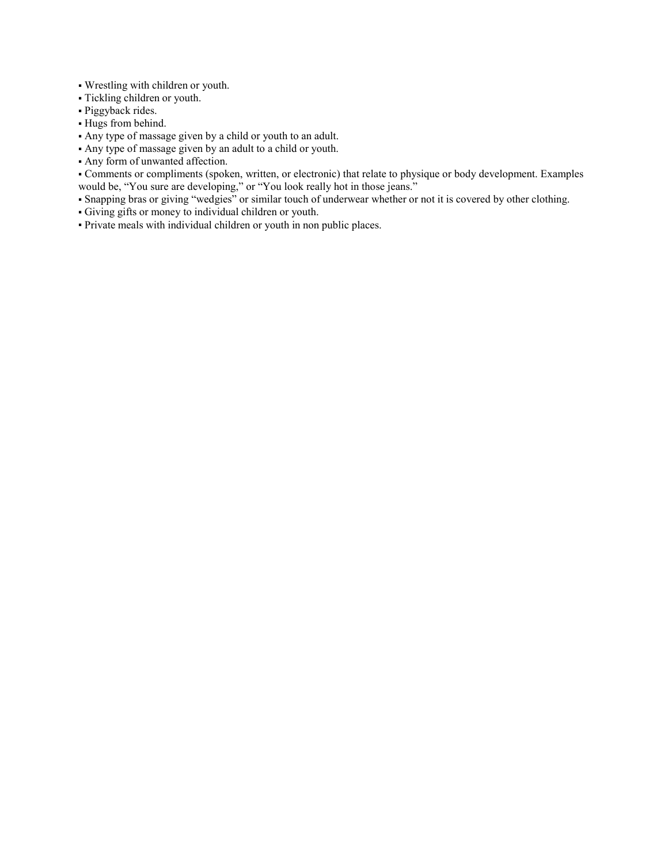- Wrestling with children or youth.
- Tickling children or youth.
- · Piggyback rides.
- Hugs from behind.
- Any type of massage given by a child or youth to an adult.
- Any type of massage given by an adult to a child or youth.
- Any form of unwanted affection.

▪ Comments or compliments (spoken, written, or electronic) that relate to physique or body development. Examples would be, "You sure are developing," or "You look really hot in those jeans."

- Snapping bras or giving "wedgies" or similar touch of underwear whether or not it is covered by other clothing.
- Giving gifts or money to individual children or youth.
- Private meals with individual children or youth in non public places.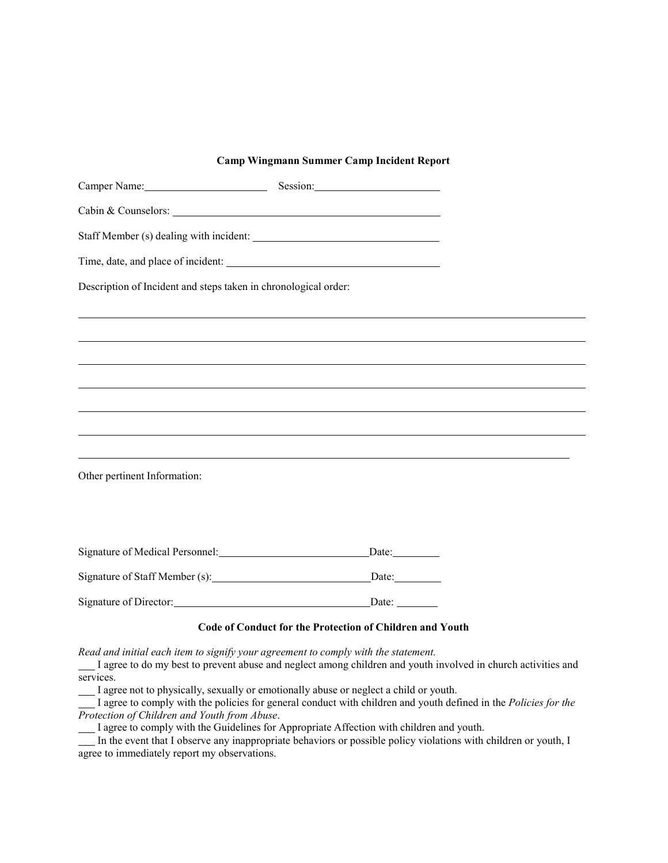#### **Camp Wingmann Summer Camp Incident Report**

| Camper Name: Session: Session:                                  |       |  |
|-----------------------------------------------------------------|-------|--|
| Cabin & Counselors:                                             |       |  |
|                                                                 |       |  |
|                                                                 |       |  |
| Description of Incident and steps taken in chronological order: |       |  |
|                                                                 |       |  |
|                                                                 |       |  |
|                                                                 |       |  |
|                                                                 |       |  |
|                                                                 |       |  |
|                                                                 |       |  |
| Other pertinent Information:                                    |       |  |
|                                                                 |       |  |
|                                                                 | Date: |  |
|                                                                 | Date: |  |
| Signature of Director: Date: Date:                              |       |  |
|                                                                 |       |  |

# **Code of Conduct for the Protection of Children and Youth**

*Read and initial each item to signify your agreement to comply with the statement.*

I agree to do my best to prevent abuse and neglect among children and youth involved in church activities and services.

I agree not to physically, sexually or emotionally abuse or neglect a child or youth.

I agree to comply with the policies for general conduct with children and youth defined in the *Policies for the Protection of Children and Youth from Abuse*.

I agree to comply with the Guidelines for Appropriate Affection with children and youth.

In the event that I observe any inappropriate behaviors or possible policy violations with children or youth, I agree to immediately report my observations.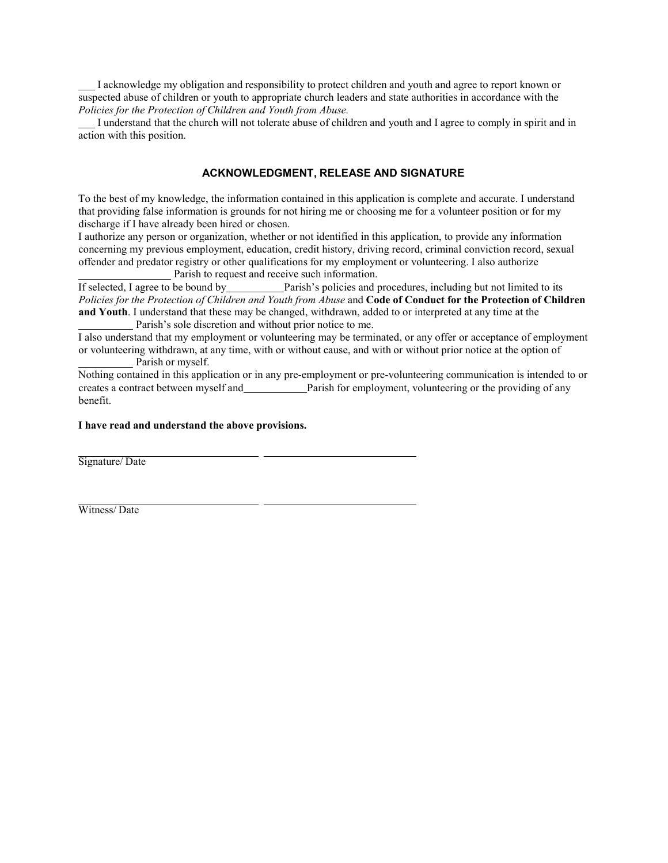I acknowledge my obligation and responsibility to protect children and youth and agree to report known or suspected abuse of children or youth to appropriate church leaders and state authorities in accordance with the *Policies for the Protection of Children and Youth from Abuse.*

I understand that the church will not tolerate abuse of children and youth and I agree to comply in spirit and in action with this position.

## **ACKNOWLEDGMENT, RELEASE AND SIGNATURE**

To the best of my knowledge, the information contained in this application is complete and accurate. I understand that providing false information is grounds for not hiring me or choosing me for a volunteer position or for my discharge if I have already been hired or chosen.

I authorize any person or organization, whether or not identified in this application, to provide any information concerning my previous employment, education, credit history, driving record, criminal conviction record, sexual offender and predator registry or other qualifications for my employment or volunteering. I also authorize Parish to request and receive such information.

If selected, I agree to be bound by Parish's policies and procedures, including but not limited to its Policies for the Protection of Children and Youth from Abuse and Code of Conduct for the Protection of Children **and Youth**. I understand that these may be changed, withdrawn, added to or interpreted at any time at the Parish's sole discretion and without prior notice to me.

I also understand that my employment or volunteering may be terminated, or any offer or acceptance of employment or volunteering withdrawn, at any time, with or without cause, and with or without prior notice at the option of Parish or myself.

Nothing contained in this application or in any pre-employment or pre-volunteering communication is intended to or creates a contract between myself and Parish for employment, volunteering or the providing of any benefit.

#### **I have read and understand the above provisions.**

Signature/ Date

Witness/ Date